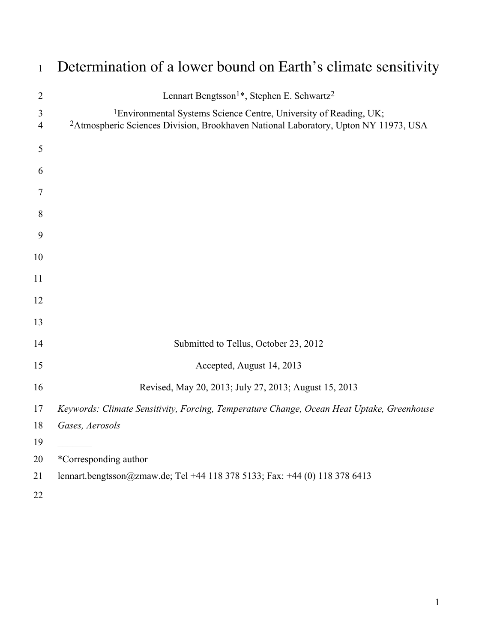| $\mathbf{1}$        | Determination of a lower bound on Earth's climate sensitivity                                                                                                                    |
|---------------------|----------------------------------------------------------------------------------------------------------------------------------------------------------------------------------|
| $\overline{2}$      | Lennart Bengtsson <sup>1*</sup> , Stephen E. Schwartz <sup>2</sup>                                                                                                               |
| 3<br>$\overline{4}$ | <sup>1</sup> Environmental Systems Science Centre, University of Reading, UK;<br><sup>2</sup> Atmospheric Sciences Division, Brookhaven National Laboratory, Upton NY 11973, USA |
| 5                   |                                                                                                                                                                                  |
| 6                   |                                                                                                                                                                                  |
| 7                   |                                                                                                                                                                                  |
| 8                   |                                                                                                                                                                                  |
| 9                   |                                                                                                                                                                                  |
| 10                  |                                                                                                                                                                                  |
| 11                  |                                                                                                                                                                                  |
| 12                  |                                                                                                                                                                                  |
| 13                  |                                                                                                                                                                                  |
| 14                  | Submitted to Tellus, October 23, 2012                                                                                                                                            |
| 15                  | Accepted, August 14, 2013                                                                                                                                                        |
| 16                  | Revised, May 20, 2013; July 27, 2013; August 15, 2013                                                                                                                            |
| 17                  | Keywords: Climate Sensitivity, Forcing, Temperature Change, Ocean Heat Uptake, Greenhouse                                                                                        |
| 18                  | Gases, Aerosols                                                                                                                                                                  |
| 19                  |                                                                                                                                                                                  |
| 20                  | *Corresponding author                                                                                                                                                            |
| 21                  | lennart.bengtsson@zmaw.de; Tel +44 118 378 5133; Fax: +44 (0) 118 378 6413                                                                                                       |
| 22                  |                                                                                                                                                                                  |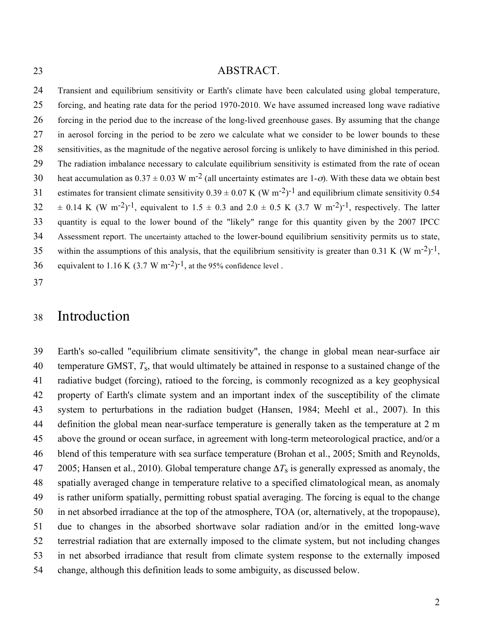#### ABSTRACT.

 Transient and equilibrium sensitivity or Earth's climate have been calculated using global temperature, forcing, and heating rate data for the period 1970-2010. We have assumed increased long wave radiative forcing in the period due to the increase of the long-lived greenhouse gases. By assuming that the change in aerosol forcing in the period to be zero we calculate what we consider to be lower bounds to these sensitivities, as the magnitude of the negative aerosol forcing is unlikely to have diminished in this period. The radiation imbalance necessary to calculate equilibrium sensitivity is estimated from the rate of ocean 30 heat accumulation as  $0.37 \pm 0.03$  W m<sup>-2</sup> (all uncertainty estimates are 1-σ). With these data we obtain best 31 estimates for transient climate sensitivity  $0.39 \pm 0.07$  K (W m<sup>-2</sup>)<sup>-1</sup> and equilibrium climate sensitivity 0.54  $32 \pm 0.14$  K (W m<sup>-2</sup>)<sup>-1</sup>, equivalent to  $1.5 \pm 0.3$  and  $2.0 \pm 0.5$  K (3.7 W m<sup>-2</sup>)<sup>-1</sup>, respectively. The latter quantity is equal to the lower bound of the "likely" range for this quantity given by the 2007 IPCC Assessment report. The uncertainty attached to the lower-bound equilibrium sensitivity permits us to state, 35 within the assumptions of this analysis, that the equilibrium sensitivity is greater than 0.31 K (W m<sup>-2</sup>)<sup>-1</sup>. 36 equivalent to 1.16 K  $(3.7 \text{ W m}^{-2})^{-1}$ , at the 95% confidence level.

#### Introduction

 Earth's so-called "equilibrium climate sensitivity", the change in global mean near-surface air 40 – temperature GMST,  $T_s$ , that would ultimately be attained in response to a sustained change of the radiative budget (forcing), ratioed to the forcing, is commonly recognized as a key geophysical property of Earth's climate system and an important index of the susceptibility of the climate system to perturbations in the radiation budget (Hansen, 1984; Meehl et al., 2007). In this definition the global mean near-surface temperature is generally taken as the temperature at 2 m above the ground or ocean surface, in agreement with long-term meteorological practice, and/or a blend of this temperature with sea surface temperature (Brohan et al., 2005; Smith and Reynolds, 2005; Hansen et al., 2010). Global temperature change  $\Delta T_s$  is generally expressed as anomaly, the spatially averaged change in temperature relative to a specified climatological mean, as anomaly is rather uniform spatially, permitting robust spatial averaging. The forcing is equal to the change in net absorbed irradiance at the top of the atmosphere, TOA (or, alternatively, at the tropopause), due to changes in the absorbed shortwave solar radiation and/or in the emitted long-wave terrestrial radiation that are externally imposed to the climate system, but not including changes in net absorbed irradiance that result from climate system response to the externally imposed change, although this definition leads to some ambiguity, as discussed below.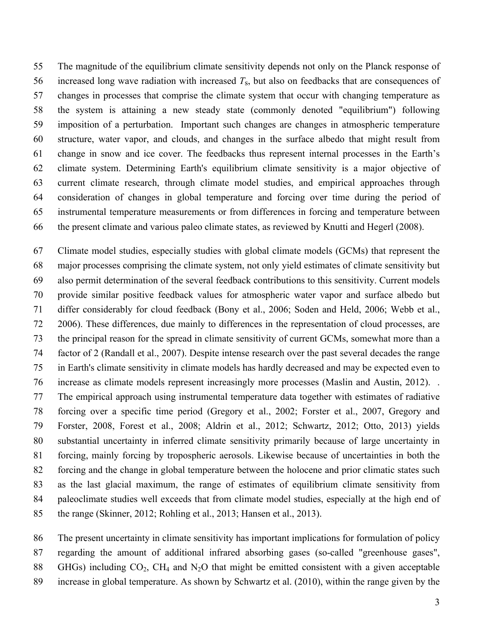The magnitude of the equilibrium climate sensitivity depends not only on the Planck response of 56 increased long wave radiation with increased  $T_s$ , but also on feedbacks that are consequences of changes in processes that comprise the climate system that occur with changing temperature as the system is attaining a new steady state (commonly denoted "equilibrium") following imposition of a perturbation. Important such changes are changes in atmospheric temperature structure, water vapor, and clouds, and changes in the surface albedo that might result from change in snow and ice cover. The feedbacks thus represent internal processes in the Earth's climate system. Determining Earth's equilibrium climate sensitivity is a major objective of current climate research, through climate model studies, and empirical approaches through consideration of changes in global temperature and forcing over time during the period of instrumental temperature measurements or from differences in forcing and temperature between the present climate and various paleo climate states, as reviewed by Knutti and Hegerl (2008).

 Climate model studies, especially studies with global climate models (GCMs) that represent the major processes comprising the climate system, not only yield estimates of climate sensitivity but also permit determination of the several feedback contributions to this sensitivity. Current models provide similar positive feedback values for atmospheric water vapor and surface albedo but differ considerably for cloud feedback (Bony et al., 2006; Soden and Held, 2006; Webb et al., 2006). These differences, due mainly to differences in the representation of cloud processes, are the principal reason for the spread in climate sensitivity of current GCMs, somewhat more than a factor of 2 (Randall et al., 2007). Despite intense research over the past several decades the range in Earth's climate sensitivity in climate models has hardly decreased and may be expected even to increase as climate models represent increasingly more processes (Maslin and Austin, 2012). . The empirical approach using instrumental temperature data together with estimates of radiative forcing over a specific time period (Gregory et al., 2002; Forster et al., 2007, Gregory and Forster, 2008, Forest et al., 2008; Aldrin et al., 2012; Schwartz, 2012; Otto, 2013) yields substantial uncertainty in inferred climate sensitivity primarily because of large uncertainty in forcing, mainly forcing by tropospheric aerosols. Likewise because of uncertainties in both the forcing and the change in global temperature between the holocene and prior climatic states such as the last glacial maximum, the range of estimates of equilibrium climate sensitivity from paleoclimate studies well exceeds that from climate model studies, especially at the high end of the range (Skinner, 2012; Rohling et al., 2013; Hansen et al., 2013).

 The present uncertainty in climate sensitivity has important implications for formulation of policy regarding the amount of additional infrared absorbing gases (so-called "greenhouse gases", 88 GHGs) including  $CO<sub>2</sub>$ , CH<sub>4</sub> and N<sub>2</sub>O that might be emitted consistent with a given acceptable increase in global temperature. As shown by Schwartz et al. (2010), within the range given by the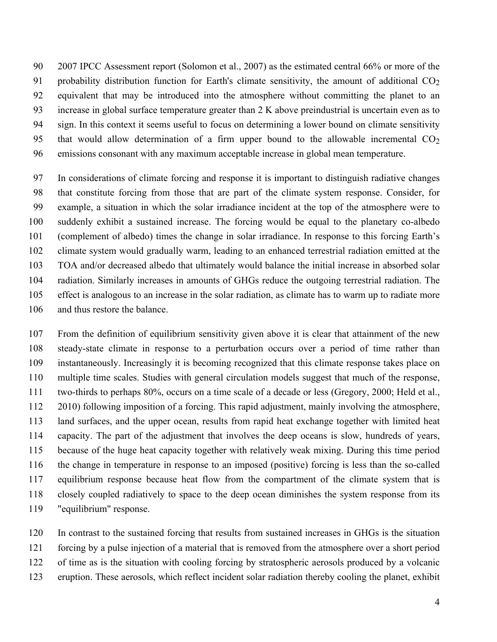2007 IPCC Assessment report (Solomon et al., 2007) as the estimated central 66% or more of the 91 probability distribution function for Earth's climate sensitivity, the amount of additional  $CO<sub>2</sub>$  equivalent that may be introduced into the atmosphere without committing the planet to an increase in global surface temperature greater than 2 K above preindustrial is uncertain even as to sign. In this context it seems useful to focus on determining a lower bound on climate sensitivity 95 that would allow determination of a firm upper bound to the allowable incremental  $CO<sub>2</sub>$ emissions consonant with any maximum acceptable increase in global mean temperature.

 In considerations of climate forcing and response it is important to distinguish radiative changes that constitute forcing from those that are part of the climate system response. Consider, for example, a situation in which the solar irradiance incident at the top of the atmosphere were to suddenly exhibit a sustained increase. The forcing would be equal to the planetary co-albedo (complement of albedo) times the change in solar irradiance. In response to this forcing Earth's climate system would gradually warm, leading to an enhanced terrestrial radiation emitted at the TOA and/or decreased albedo that ultimately would balance the initial increase in absorbed solar radiation. Similarly increases in amounts of GHGs reduce the outgoing terrestrial radiation. The effect is analogous to an increase in the solar radiation, as climate has to warm up to radiate more and thus restore the balance.

 From the definition of equilibrium sensitivity given above it is clear that attainment of the new steady-state climate in response to a perturbation occurs over a period of time rather than instantaneously. Increasingly it is becoming recognized that this climate response takes place on multiple time scales. Studies with general circulation models suggest that much of the response, two-thirds to perhaps 80%, occurs on a time scale of a decade or less (Gregory, 2000; Held et al., 2010) following imposition of a forcing. This rapid adjustment, mainly involving the atmosphere, land surfaces, and the upper ocean, results from rapid heat exchange together with limited heat capacity. The part of the adjustment that involves the deep oceans is slow, hundreds of years, because of the huge heat capacity together with relatively weak mixing. During this time period the change in temperature in response to an imposed (positive) forcing is less than the so-called equilibrium response because heat flow from the compartment of the climate system that is closely coupled radiatively to space to the deep ocean diminishes the system response from its "equilibrium" response.

 In contrast to the sustained forcing that results from sustained increases in GHGs is the situation forcing by a pulse injection of a material that is removed from the atmosphere over a short period

of time as is the situation with cooling forcing by stratospheric aerosols produced by a volcanic

eruption. These aerosols, which reflect incident solar radiation thereby cooling the planet, exhibit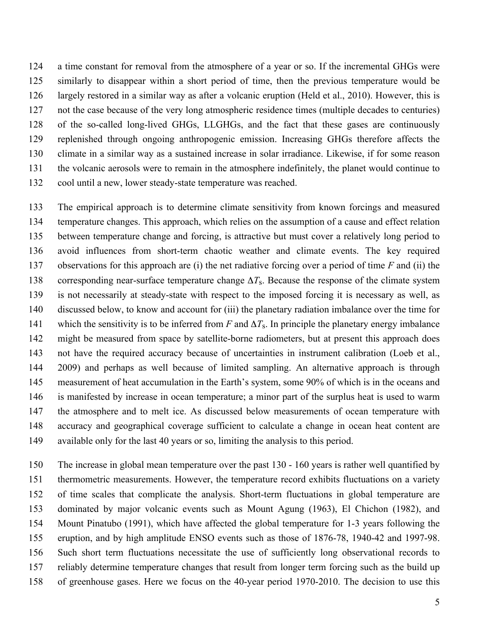a time constant for removal from the atmosphere of a year or so. If the incremental GHGs were similarly to disappear within a short period of time, then the previous temperature would be largely restored in a similar way as after a volcanic eruption (Held et al., 2010). However, this is not the case because of the very long atmospheric residence times (multiple decades to centuries) of the so-called long-lived GHGs, LLGHGs, and the fact that these gases are continuously replenished through ongoing anthropogenic emission. Increasing GHGs therefore affects the climate in a similar way as a sustained increase in solar irradiance. Likewise, if for some reason the volcanic aerosols were to remain in the atmosphere indefinitely, the planet would continue to cool until a new, lower steady-state temperature was reached.

 The empirical approach is to determine climate sensitivity from known forcings and measured temperature changes. This approach, which relies on the assumption of a cause and effect relation between temperature change and forcing, is attractive but must cover a relatively long period to avoid influences from short-term chaotic weather and climate events. The key required observations for this approach are (i) the net radiative forcing over a period of time *F* and (ii) the 138 corresponding near-surface temperature change  $\Delta T_s$ . Because the response of the climate system is not necessarily at steady-state with respect to the imposed forcing it is necessary as well, as discussed below, to know and account for (iii) the planetary radiation imbalance over the time for 141 which the sensitivity is to be inferred from *F* and  $\Delta T_s$ . In principle the planetary energy imbalance might be measured from space by satellite-borne radiometers, but at present this approach does not have the required accuracy because of uncertainties in instrument calibration (Loeb et al., 2009) and perhaps as well because of limited sampling. An alternative approach is through measurement of heat accumulation in the Earth's system, some 90% of which is in the oceans and is manifested by increase in ocean temperature; a minor part of the surplus heat is used to warm the atmosphere and to melt ice. As discussed below measurements of ocean temperature with accuracy and geographical coverage sufficient to calculate a change in ocean heat content are available only for the last 40 years or so, limiting the analysis to this period.

 The increase in global mean temperature over the past 130 - 160 years is rather well quantified by thermometric measurements. However, the temperature record exhibits fluctuations on a variety of time scales that complicate the analysis. Short-term fluctuations in global temperature are dominated by major volcanic events such as Mount Agung (1963), El Chichon (1982), and Mount Pinatubo (1991), which have affected the global temperature for 1-3 years following the eruption, and by high amplitude ENSO events such as those of 1876-78, 1940-42 and 1997-98. Such short term fluctuations necessitate the use of sufficiently long observational records to reliably determine temperature changes that result from longer term forcing such as the build up of greenhouse gases. Here we focus on the 40-year period 1970-2010. The decision to use this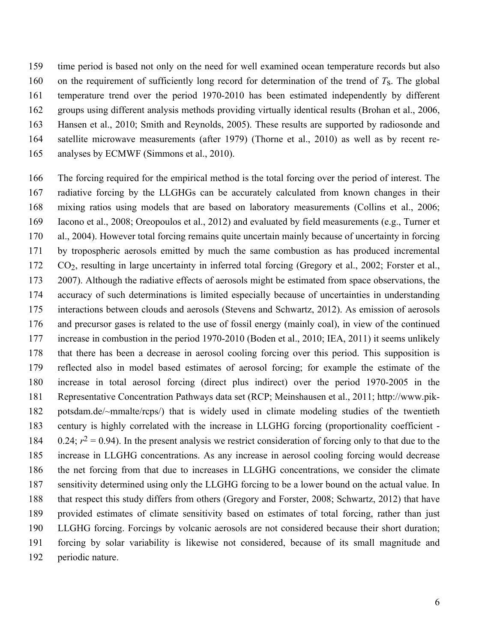time period is based not only on the need for well examined ocean temperature records but also on the requirement of sufficiently long record for determination of the trend of *T*s. The global temperature trend over the period 1970-2010 has been estimated independently by different groups using different analysis methods providing virtually identical results (Brohan et al., 2006, Hansen et al., 2010; Smith and Reynolds, 2005). These results are supported by radiosonde and satellite microwave measurements (after 1979) (Thorne et al., 2010) as well as by recent re-analyses by ECMWF (Simmons et al., 2010).

 The forcing required for the empirical method is the total forcing over the period of interest. The radiative forcing by the LLGHGs can be accurately calculated from known changes in their mixing ratios using models that are based on laboratory measurements (Collins et al., 2006; Iacono et al., 2008; Oreopoulos et al., 2012) and evaluated by field measurements (e.g., Turner et al., 2004). However total forcing remains quite uncertain mainly because of uncertainty in forcing by tropospheric aerosols emitted by much the same combustion as has produced incremental CO2, resulting in large uncertainty in inferred total forcing (Gregory et al., 2002; Forster et al., 2007). Although the radiative effects of aerosols might be estimated from space observations, the accuracy of such determinations is limited especially because of uncertainties in understanding interactions between clouds and aerosols (Stevens and Schwartz, 2012). As emission of aerosols and precursor gases is related to the use of fossil energy (mainly coal), in view of the continued increase in combustion in the period 1970-2010 (Boden et al., 2010; IEA, 2011) it seems unlikely that there has been a decrease in aerosol cooling forcing over this period. This supposition is reflected also in model based estimates of aerosol forcing; for example the estimate of the increase in total aerosol forcing (direct plus indirect) over the period 1970-2005 in the Representative Concentration Pathways data set (RCP; Meinshausen et al., 2011; http://www.pik- potsdam.de/~mmalte/rcps/) that is widely used in climate modeling studies of the twentieth century is highly correlated with the increase in LLGHG forcing (proportionality coefficient - 184 0.24;  $r^2 = 0.94$ ). In the present analysis we restrict consideration of forcing only to that due to the increase in LLGHG concentrations. As any increase in aerosol cooling forcing would decrease the net forcing from that due to increases in LLGHG concentrations, we consider the climate sensitivity determined using only the LLGHG forcing to be a lower bound on the actual value. In that respect this study differs from others (Gregory and Forster, 2008; Schwartz, 2012) that have provided estimates of climate sensitivity based on estimates of total forcing, rather than just LLGHG forcing. Forcings by volcanic aerosols are not considered because their short duration; forcing by solar variability is likewise not considered, because of its small magnitude and periodic nature.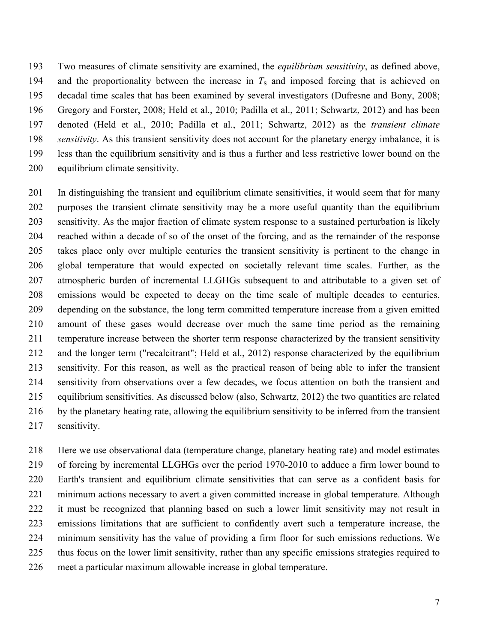Two measures of climate sensitivity are examined, the *equilibrium sensitivity*, as defined above, 194 and the proportionality between the increase in  $T_s$  and imposed forcing that is achieved on decadal time scales that has been examined by several investigators (Dufresne and Bony, 2008; Gregory and Forster, 2008; Held et al., 2010; Padilla et al., 2011; Schwartz, 2012) and has been denoted (Held et al., 2010; Padilla et al., 2011; Schwartz, 2012) as the *transient climate sensitivity*. As this transient sensitivity does not account for the planetary energy imbalance, it is less than the equilibrium sensitivity and is thus a further and less restrictive lower bound on the equilibrium climate sensitivity.

 In distinguishing the transient and equilibrium climate sensitivities, it would seem that for many purposes the transient climate sensitivity may be a more useful quantity than the equilibrium sensitivity. As the major fraction of climate system response to a sustained perturbation is likely reached within a decade of so of the onset of the forcing, and as the remainder of the response takes place only over multiple centuries the transient sensitivity is pertinent to the change in global temperature that would expected on societally relevant time scales. Further, as the atmospheric burden of incremental LLGHGs subsequent to and attributable to a given set of emissions would be expected to decay on the time scale of multiple decades to centuries, depending on the substance, the long term committed temperature increase from a given emitted amount of these gases would decrease over much the same time period as the remaining temperature increase between the shorter term response characterized by the transient sensitivity and the longer term ("recalcitrant"; Held et al., 2012) response characterized by the equilibrium sensitivity. For this reason, as well as the practical reason of being able to infer the transient sensitivity from observations over a few decades, we focus attention on both the transient and equilibrium sensitivities. As discussed below (also, Schwartz, 2012) the two quantities are related by the planetary heating rate, allowing the equilibrium sensitivity to be inferred from the transient sensitivity.

 Here we use observational data (temperature change, planetary heating rate) and model estimates of forcing by incremental LLGHGs over the period 1970-2010 to adduce a firm lower bound to Earth's transient and equilibrium climate sensitivities that can serve as a confident basis for minimum actions necessary to avert a given committed increase in global temperature. Although it must be recognized that planning based on such a lower limit sensitivity may not result in emissions limitations that are sufficient to confidently avert such a temperature increase, the minimum sensitivity has the value of providing a firm floor for such emissions reductions. We thus focus on the lower limit sensitivity, rather than any specific emissions strategies required to meet a particular maximum allowable increase in global temperature.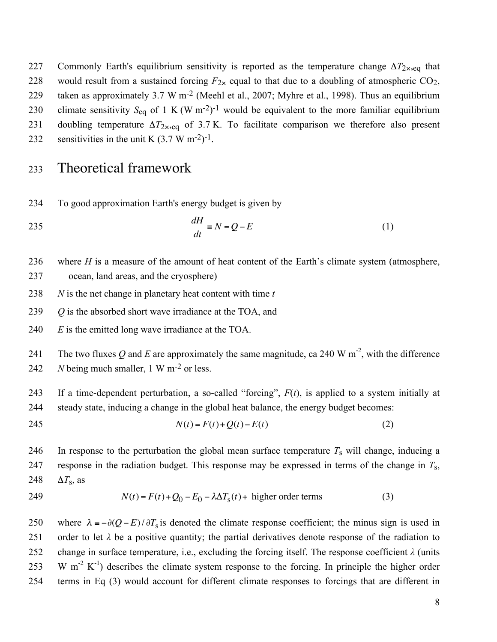227 Commonly Earth's equilibrium sensitivity is reported as the temperature change Δ*T*2×,eq that 228 would result from a sustained forcing  $F_{2x}$  equal to that due to a doubling of atmospheric CO<sub>2</sub>, 229 taken as approximately 3.7 W m<sup>-2</sup> (Meehl et al., 2007; Myhre et al., 1998). Thus an equilibrium 230 climate sensitivity  $S_{eq}$  of 1 K (W m<sup>-2</sup>)<sup>-1</sup> would be equivalent to the more familiar equilibrium 231 doubling temperature  $\Delta T_{2\times,eq}$  of 3.7 K. To facilitate comparison we therefore also present

232 sensitivities in the unit K  $(3.7 \text{ W m}^{-2})^{-1}$ .

## <sup>233</sup> Theoretical framework

234 To good approximation Earth's energy budget is given by

$$
\frac{dH}{dt} = N = Q - E \tag{1}
$$

236 where *H* is a measure of the amount of heat content of the Earth's climate system (atmosphere,

237 ocean, land areas, and the cryosphere)

238 *N* is the net change in planetary heat content with time *t*

239 *Q* is the absorbed short wave irradiance at the TOA, and

240 *E* is the emitted long wave irradiance at the TOA.

241 The two fluxes Q and E are approximately the same magnitude, ca 240 W  $m^{-2}$ , with the difference 242  $N$  being much smaller, 1 W m<sup>-2</sup> or less.

243 If a time-dependent perturbation, a so-called "forcing", *F*(*t*), is applied to a system initially at 244 steady state, inducing a change in the global heat balance, the energy budget becomes:

245 
$$
N(t) = F(t) + Q(t) - E(t)
$$
 (2)

246 In response to the perturbation the global mean surface temperature  $T_s$  will change, inducing a response in the radiation budget. This response may be expressed in terms of the change in  $T_s$ ,  $248$   $\Delta T_{\rm s}$ , as

249  $N(t) = F(t) + Q_0 - E_0 - \lambda \Delta T_s(t) + \text{higher order terms}$  (3)

250 where  $\lambda = -\partial (Q - E)/\partial T_s$  is denoted the climate response coefficient; the minus sign is used in 251 order to let  $\lambda$  be a positive quantity; the partial derivatives denote response of the radiation to 252 change in surface temperature, i.e., excluding the forcing itself. The response coefficient *λ* (units 253 W m<sup>-2</sup> K<sup>-1</sup>) describes the climate system response to the forcing. In principle the higher order 254 terms in Eq (3) would account for different climate responses to forcings that are different in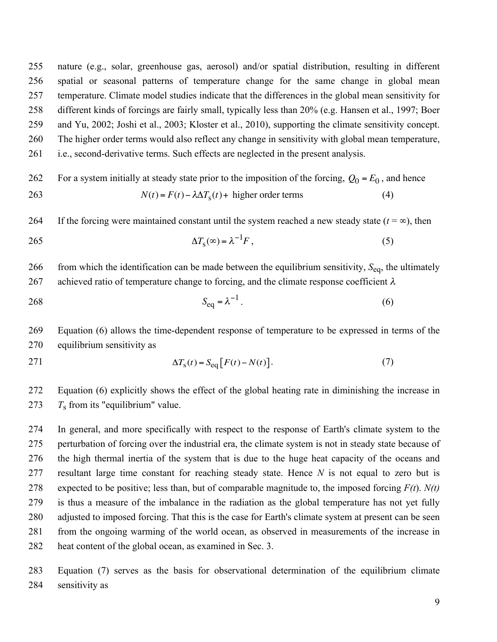nature (e.g., solar, greenhouse gas, aerosol) and/or spatial distribution, resulting in different spatial or seasonal patterns of temperature change for the same change in global mean temperature. Climate model studies indicate that the differences in the global mean sensitivity for different kinds of forcings are fairly small, typically less than 20% (e.g. Hansen et al., 1997; Boer and Yu, 2002; Joshi et al., 2003; Kloster et al., 2010), supporting the climate sensitivity concept. The higher order terms would also reflect any change in sensitivity with global mean temperature, i.e., second-derivative terms. Such effects are neglected in the present analysis.

For a system initially at steady state prior to the imposition of the forcing,  $Q_0 = E_0$ , and hence 263  $N(t) = F(t) - \lambda \Delta T_s(t) +$  higher order terms (4)

264 If the forcing were maintained constant until the system reached a new steady state  $(t = \infty)$ , then

$$
\Delta T_{\rm s}(\infty) = \lambda^{-1} F \,, \tag{5}
$$

 from which the identification can be made between the equilibrium sensitivity, *S*eq, the ultimately 267 achieved ratio of temperature change to forcing, and the climate response coefficient  $\lambda$ 

268  $S_{eq} = \lambda^{-1}$ . (6)

 Equation (6) allows the time-dependent response of temperature to be expressed in terms of the equilibrium sensitivity as

$$
\Delta T_{\rm s}(t) = S_{\rm eq} \left[ F(t) - N(t) \right]. \tag{7}
$$

 Equation (6) explicitly shows the effect of the global heating rate in diminishing the increase in 273  $T_s$  from its "equilibrium" value.

 In general, and more specifically with respect to the response of Earth's climate system to the perturbation of forcing over the industrial era, the climate system is not in steady state because of the high thermal inertia of the system that is due to the huge heat capacity of the oceans and resultant large time constant for reaching steady state. Hence *N* is not equal to zero but is expected to be positive; less than, but of comparable magnitude to, the imposed forcing *F(t*). *N(t)* is thus a measure of the imbalance in the radiation as the global temperature has not yet fully adjusted to imposed forcing. That this is the case for Earth's climate system at present can be seen from the ongoing warming of the world ocean, as observed in measurements of the increase in heat content of the global ocean, as examined in Sec. 3.

 Equation (7) serves as the basis for observational determination of the equilibrium climate sensitivity as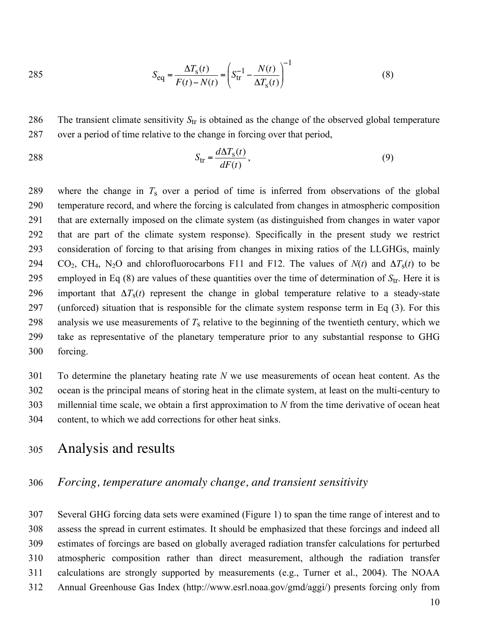285 
$$
S_{\text{eq}} = \frac{\Delta T_{\text{s}}(t)}{F(t) - N(t)} = \left( S_{\text{tr}}^{-1} - \frac{N(t)}{\Delta T_{\text{s}}(t)} \right)^{-1}
$$
(8)

286 The transient climate sensitivity  $S_{tr}$  is obtained as the change of the observed global temperature 287 over a period of time relative to the change in forcing over that period,

$$
S_{\text{tr}} = \frac{d\Delta T_{\text{s}}(t)}{dF(t)},\tag{9}
$$

 where the change in *T*s over a period of time is inferred from observations of the global temperature record, and where the forcing is calculated from changes in atmospheric composition that are externally imposed on the climate system (as distinguished from changes in water vapor that are part of the climate system response). Specifically in the present study we restrict consideration of forcing to that arising from changes in mixing ratios of the LLGHGs, mainly 294 CO<sub>2</sub>, CH<sub>4</sub>, N<sub>2</sub>O and chlorofluorocarbons F11 and F12. The values of  $N(t)$  and  $\Delta T_s(t)$  to be employed in Eq (8) are values of these quantities over the time of determination of  $S_{tr}$ . Here it is 296 important that  $\Delta T_s(t)$  represent the change in global temperature relative to a steady-state (unforced) situation that is responsible for the climate system response term in Eq (3). For this 298 analysis we use measurements of  $T_s$  relative to the beginning of the twentieth century, which we take as representative of the planetary temperature prior to any substantial response to GHG forcing.

 To determine the planetary heating rate *N* we use measurements of ocean heat content. As the ocean is the principal means of storing heat in the climate system, at least on the multi-century to millennial time scale, we obtain a first approximation to *N* from the time derivative of ocean heat content, to which we add corrections for other heat sinks.

## <sup>305</sup> Analysis and results

#### 306 *Forcing, temperature anomaly change, and transient sensitivity*

 Several GHG forcing data sets were examined (Figure 1) to span the time range of interest and to assess the spread in current estimates. It should be emphasized that these forcings and indeed all estimates of forcings are based on globally averaged radiation transfer calculations for perturbed atmospheric composition rather than direct measurement, although the radiation transfer calculations are strongly supported by measurements (e.g., Turner et al., 2004). The NOAA Annual Greenhouse Gas Index (http://www.esrl.noaa.gov/gmd/aggi/) presents forcing only from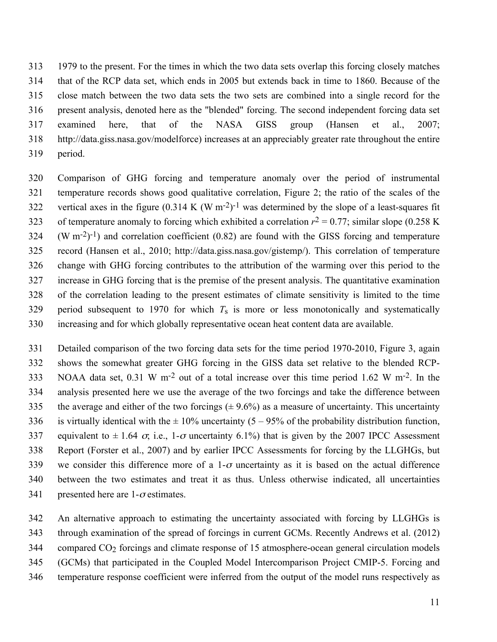1979 to the present. For the times in which the two data sets overlap this forcing closely matches that of the RCP data set, which ends in 2005 but extends back in time to 1860. Because of the close match between the two data sets the two sets are combined into a single record for the present analysis, denoted here as the "blended" forcing. The second independent forcing data set examined here, that of the NASA GISS group (Hansen et al., 2007; http://data.giss.nasa.gov/modelforce) increases at an appreciably greater rate throughout the entire period.

 Comparison of GHG forcing and temperature anomaly over the period of instrumental temperature records shows good qualitative correlation, Figure 2; the ratio of the scales of the 322 vertical axes in the figure  $(0.314 \text{ K } (W \text{ m}^{-2})^{-1}$  was determined by the slope of a least-squares fit 323 of temperature anomaly to forcing which exhibited a correlation  $r^2 = 0.77$ ; similar slope (0.258 K)  $(324 \, (W \, m^{-2})^{-1})$  and correlation coefficient (0.82) are found with the GISS forcing and temperature record (Hansen et al., 2010; http://data.giss.nasa.gov/gistemp/). This correlation of temperature change with GHG forcing contributes to the attribution of the warming over this period to the increase in GHG forcing that is the premise of the present analysis. The quantitative examination of the correlation leading to the present estimates of climate sensitivity is limited to the time 329 period subsequent to 1970 for which  $T_s$  is more or less monotonically and systematically increasing and for which globally representative ocean heat content data are available.

 Detailed comparison of the two forcing data sets for the time period 1970-2010, Figure 3, again shows the somewhat greater GHG forcing in the GISS data set relative to the blended RCP-333 NOAA data set,  $0.31 \text{ W m}^{-2}$  out of a total increase over this time period 1.62 W m<sup>-2</sup>. In the analysis presented here we use the average of the two forcings and take the difference between 335 the average and either of the two forcings  $(\pm 9.6\%)$  as a measure of uncertainty. This uncertainty 336 is virtually identical with the  $\pm$  10% uncertainty (5 – 95% of the probability distribution function, 337 equivalent to  $\pm 1.64$   $\sigma$ , i.e., 1- $\sigma$  uncertainty 6.1%) that is given by the 2007 IPCC Assessment Report (Forster et al., 2007) and by earlier IPCC Assessments for forcing by the LLGHGs, but 339 we consider this difference more of a 1- $\sigma$  uncertainty as it is based on the actual difference between the two estimates and treat it as thus. Unless otherwise indicated, all uncertainties 341 presented here are  $1-\sigma$  estimates.

An alternative approach to estimating the uncertainty associated with forcing by LLGHGs is

through examination of the spread of forcings in current GCMs. Recently Andrews et al. (2012)

compared CO2 forcings and climate response of 15 atmosphere-ocean general circulation models

(GCMs) that participated in the Coupled Model Intercomparison Project CMIP-5. Forcing and

temperature response coefficient were inferred from the output of the model runs respectively as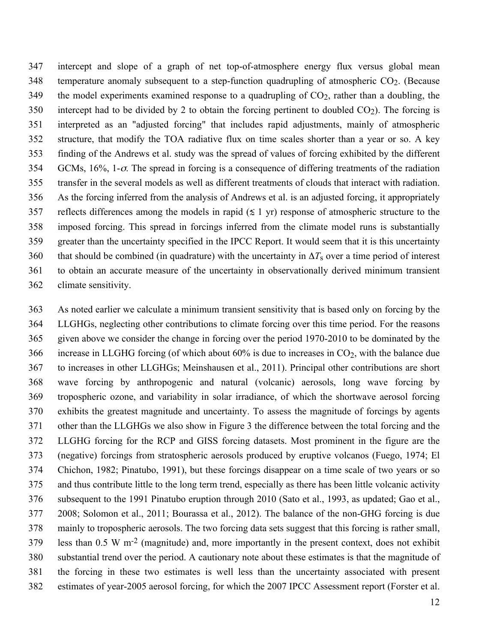intercept and slope of a graph of net top-of-atmosphere energy flux versus global mean 348 temperature anomaly subsequent to a step-function quadrupling of atmospheric  $CO<sub>2</sub>$ . (Because 349 the model experiments examined response to a quadrupling of  $CO<sub>2</sub>$ , rather than a doubling, the 350 intercept had to be divided by 2 to obtain the forcing pertinent to doubled  $CO<sub>2</sub>$ ). The forcing is interpreted as an "adjusted forcing" that includes rapid adjustments, mainly of atmospheric structure, that modify the TOA radiative flux on time scales shorter than a year or so. A key finding of the Andrews et al. study was the spread of values of forcing exhibited by the different GCMs, 16%, 1-σ. The spread in forcing is a consequence of differing treatments of the radiation transfer in the several models as well as different treatments of clouds that interact with radiation. As the forcing inferred from the analysis of Andrews et al. is an adjusted forcing, it appropriately 357 reflects differences among the models in rapid ( $\leq 1$  yr) response of atmospheric structure to the imposed forcing. This spread in forcings inferred from the climate model runs is substantially greater than the uncertainty specified in the IPCC Report. It would seem that it is this uncertainty 360 that should be combined (in quadrature) with the uncertainty in  $\Delta T_s$  over a time period of interest to obtain an accurate measure of the uncertainty in observationally derived minimum transient climate sensitivity.

 As noted earlier we calculate a minimum transient sensitivity that is based only on forcing by the LLGHGs, neglecting other contributions to climate forcing over this time period. For the reasons given above we consider the change in forcing over the period 1970-2010 to be dominated by the 366 increase in LLGHG forcing (of which about  $60\%$  is due to increases in  $CO<sub>2</sub>$ , with the balance due to increases in other LLGHGs; Meinshausen et al., 2011). Principal other contributions are short wave forcing by anthropogenic and natural (volcanic) aerosols, long wave forcing by tropospheric ozone, and variability in solar irradiance, of which the shortwave aerosol forcing exhibits the greatest magnitude and uncertainty. To assess the magnitude of forcings by agents other than the LLGHGs we also show in Figure 3 the difference between the total forcing and the LLGHG forcing for the RCP and GISS forcing datasets. Most prominent in the figure are the (negative) forcings from stratospheric aerosols produced by eruptive volcanos (Fuego, 1974; El Chichon, 1982; Pinatubo, 1991), but these forcings disappear on a time scale of two years or so and thus contribute little to the long term trend, especially as there has been little volcanic activity subsequent to the 1991 Pinatubo eruption through 2010 (Sato et al., 1993, as updated; Gao et al., 2008; Solomon et al., 2011; Bourassa et al., 2012). The balance of the non-GHG forcing is due mainly to tropospheric aerosols. The two forcing data sets suggest that this forcing is rather small, less than 0.5 W m<sup>-2</sup> (magnitude) and, more importantly in the present context, does not exhibit substantial trend over the period. A cautionary note about these estimates is that the magnitude of the forcing in these two estimates is well less than the uncertainty associated with present estimates of year-2005 aerosol forcing, for which the 2007 IPCC Assessment report (Forster et al.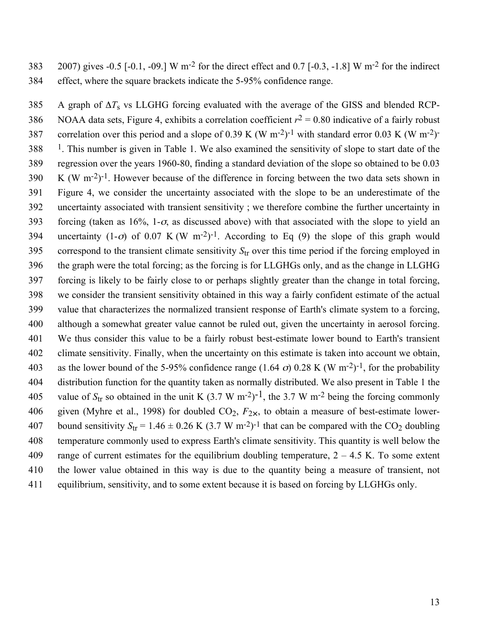383 2007) gives  $-0.5$  [ $-0.1$ ,  $-0.9$ .] W m<sup>-2</sup> for the direct effect and 0.7 [ $-0.3$ ,  $-1.8$ ] W m<sup>-2</sup> for the indirect 384 effect, where the square brackets indicate the 5-95% confidence range.

385 A graph of Δ*T*s vs LLGHG forcing evaluated with the average of the GISS and blended RCP-386 NOAA data sets, Figure 4, exhibits a correlation coefficient  $r^2 = 0.80$  indicative of a fairly robust 387 correlation over this period and a slope of 0.39 K (W m<sup>-2</sup>)<sup>-1</sup> with standard error 0.03 K (W m<sup>-2</sup>)<sup>-1</sup>  $1.388$  <sup>1</sup>. This number is given in Table 1. We also examined the sensitivity of slope to start date of the 389 regression over the years 1960-80, finding a standard deviation of the slope so obtained to be 0.03  $K (W m<sup>-2</sup>)<sup>-1</sup>$ . However because of the difference in forcing between the two data sets shown in 391 Figure 4, we consider the uncertainty associated with the slope to be an underestimate of the 392 uncertainty associated with transient sensitivity ; we therefore combine the further uncertainty in 393 forcing (taken as  $16\%$ , 1- $\sigma$ , as discussed above) with that associated with the slope to yield an 394 uncertainty  $(1-\sigma)$  of 0.07 K (W m<sup>-2</sup>)<sup>-1</sup>. According to Eq (9) the slope of this graph would 395 correspond to the transient climate sensitivity *S*tr over this time period if the forcing employed in 396 the graph were the total forcing; as the forcing is for LLGHGs only, and as the change in LLGHG 397 forcing is likely to be fairly close to or perhaps slightly greater than the change in total forcing, 398 we consider the transient sensitivity obtained in this way a fairly confident estimate of the actual 399 value that characterizes the normalized transient response of Earth's climate system to a forcing, 400 although a somewhat greater value cannot be ruled out, given the uncertainty in aerosol forcing. 401 We thus consider this value to be a fairly robust best-estimate lower bound to Earth's transient 402 climate sensitivity. Finally, when the uncertainty on this estimate is taken into account we obtain, 403 as the lower bound of the 5-95% confidence range (1.64  $\sigma$ ) 0.28 K (W m<sup>-2</sup>)<sup>-1</sup>, for the probability 404 distribution function for the quantity taken as normally distributed. We also present in Table 1 the 405 value of  $S_{tr}$  so obtained in the unit K (3.7 W m<sup>-2</sup>)<sup>-1</sup>, the 3.7 W m<sup>-2</sup> being the forcing commonly 406 given (Myhre et al., 1998) for doubled  $CO_2$ ,  $F_{2x}$ , to obtain a measure of best-estimate lower-407 bound sensitivity  $S_{tr} = 1.46 \pm 0.26$  K (3.7 W m<sup>-2</sup>)<sup>-1</sup> that can be compared with the CO<sub>2</sub> doubling 408 temperature commonly used to express Earth's climate sensitivity. This quantity is well below the 409 range of current estimates for the equilibrium doubling temperature,  $2 - 4.5$  K. To some extent 410 the lower value obtained in this way is due to the quantity being a measure of transient, not 411 equilibrium, sensitivity, and to some extent because it is based on forcing by LLGHGs only.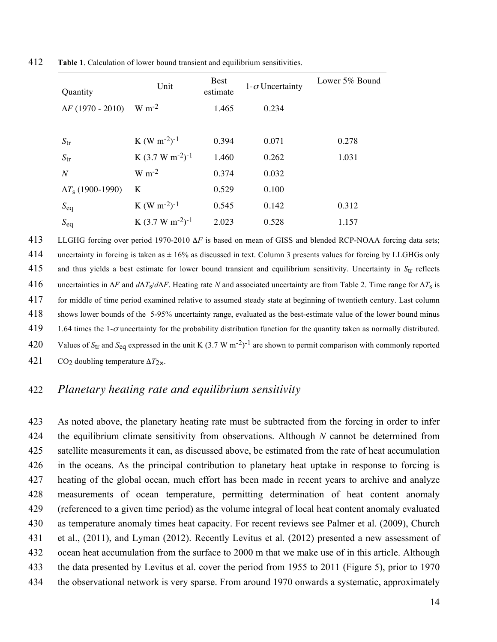| Quantity                 | Unit                                 | <b>Best</b><br>estimate | $1-\sigma$ Uncertainty | Lower 5% Bound |
|--------------------------|--------------------------------------|-------------------------|------------------------|----------------|
| $\Delta F (1970 - 2010)$ | $W m-2$                              |                         | 0.234                  |                |
|                          |                                      |                         |                        |                |
| $S_{\rm tr}$             | K (W m <sup>-2</sup> ) <sup>-1</sup> | 0.394                   | 0.071                  | 0.278          |
| $S_{\rm tr}$             | K $(3.7 W m^{-2})^{-1}$              | 1.460                   | 0.262                  | 1.031          |
| $\boldsymbol{N}$         | $W m-2$                              | 0.374                   | 0.032                  |                |
| $\Delta T_s$ (1900-1990) | K                                    | 0.529                   | 0.100                  |                |
| $S_{eq}$                 | K (W m <sup>-2</sup> ) <sup>-1</sup> | 0.545                   | 0.142                  | 0.312          |
| $S_{eq}$                 | K $(3.7 W m^{-2})^{-1}$              | 2.023                   | 0.528                  | 1.157          |

412 **Table 1**. Calculation of lower bound transient and equilibrium sensitivities.

413 LLGHG forcing over period 1970-2010 Δ*F* is based on mean of GISS and blended RCP-NOAA forcing data sets; 414 uncertainty in forcing is taken as  $\pm$  16% as discussed in text. Column 3 presents values for forcing by LLGHGs only 415 and thus yields a best estimate for lower bound transient and equilibrium sensitivity. Uncertainty in *Str* reflects 416 uncertainties in  $\Delta F$  and  $d\Delta T_s/d\Delta F$ . Heating rate *N* and associated uncertainty are from Table 2. Time range for  $\Delta T_s$  is 417 for middle of time period examined relative to assumed steady state at beginning of twentieth century. Last column 418 shows lower bounds of the 5-95% uncertainty range, evaluated as the best-estimate value of the lower bound minus 419 1.64 times the 1- $\sigma$  uncertainty for the probability distribution function for the quantity taken as normally distributed. 420 Values of  $S_{tr}$  and  $S_{eq}$  expressed in the unit K (3.7 W m<sup>-2</sup>)<sup>-1</sup> are shown to permit comparison with commonly reported 421 CO2 doubling temperature Δ*T*2×.

#### 422 *Planetary heating rate and equilibrium sensitivity*

 As noted above, the planetary heating rate must be subtracted from the forcing in order to infer the equilibrium climate sensitivity from observations. Although *N* cannot be determined from satellite measurements it can, as discussed above, be estimated from the rate of heat accumulation in the oceans. As the principal contribution to planetary heat uptake in response to forcing is heating of the global ocean, much effort has been made in recent years to archive and analyze measurements of ocean temperature, permitting determination of heat content anomaly (referenced to a given time period) as the volume integral of local heat content anomaly evaluated as temperature anomaly times heat capacity. For recent reviews see Palmer et al. (2009), Church et al., (2011), and Lyman (2012). Recently Levitus et al. (2012) presented a new assessment of ocean heat accumulation from the surface to 2000 m that we make use of in this article. Although the data presented by Levitus et al. cover the period from 1955 to 2011 (Figure 5), prior to 1970 the observational network is very sparse. From around 1970 onwards a systematic, approximately

14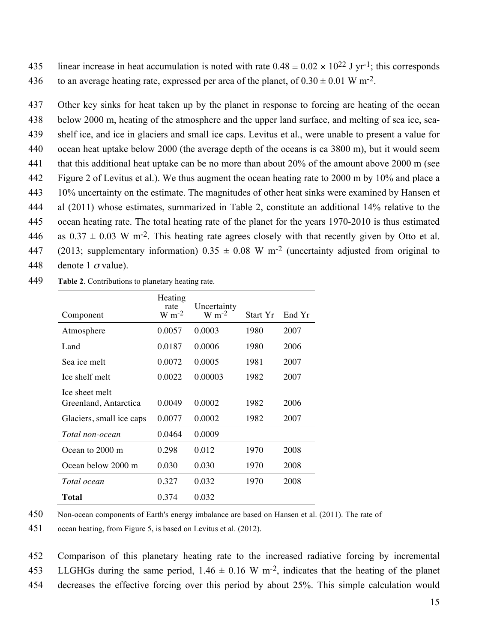435 linear increase in heat accumulation is noted with rate  $0.48 \pm 0.02 \times 10^{22}$  J yr<sup>-1</sup>; this corresponds 436 to an average heating rate, expressed per area of the planet, of  $0.30 \pm 0.01$  W m<sup>-2</sup>.

 Other key sinks for heat taken up by the planet in response to forcing are heating of the ocean below 2000 m, heating of the atmosphere and the upper land surface, and melting of sea ice, sea- shelf ice, and ice in glaciers and small ice caps. Levitus et al., were unable to present a value for ocean heat uptake below 2000 (the average depth of the oceans is ca 3800 m), but it would seem that this additional heat uptake can be no more than about 20% of the amount above 2000 m (see Figure 2 of Levitus et al.). We thus augment the ocean heating rate to 2000 m by 10% and place a 10% uncertainty on the estimate. The magnitudes of other heat sinks were examined by Hansen et al (2011) whose estimates, summarized in Table 2, constitute an additional 14% relative to the ocean heating rate. The total heating rate of the planet for the years 1970-2010 is thus estimated 446 as  $0.37 \pm 0.03$  W m<sup>-2</sup>. This heating rate agrees closely with that recently given by Otto et al. 447 (2013; supplementary information)  $0.35 \pm 0.08$  W m<sup>-2</sup> (uncertainty adjusted from original to 448 denote 1  $\sigma$  value).

449 **Table 2**. Contributions to planetary heating rate.

| Component                | Heating<br>rate<br>$W m-2$ | Uncertainty<br>$W m-2$ | Start Yr | End Yr |
|--------------------------|----------------------------|------------------------|----------|--------|
|                          |                            |                        |          |        |
| Atmosphere               | 0.0057                     | 0.0003                 | 1980     | 2007   |
| Land                     | 0.0187                     | 0.0006                 | 1980     | 2006   |
| Sea ice melt             | 0.0072                     | 0.0005                 | 1981     | 2007   |
| Lee shelf melt           | 0.0022                     | 0.00003                | 1982     | 2007   |
| Lee sheet melt           |                            |                        |          |        |
| Greenland, Antarctica    | 0.0049                     | 0.0002                 | 1982     | 2006   |
| Glaciers, small ice caps | 0.0077                     | 0.0002                 | 1982     | 2007   |
| Total non-ocean          | 0.0464                     | 0.0009                 |          |        |
| Ocean to 2000 m          | 0.298                      | 0.012                  | 1970     | 2008   |
| Ocean below 2000 m       | 0.030                      | 0.030                  | 1970     | 2008   |
| Total ocean              | 0.327                      | 0.032                  | 1970     | 2008   |
| <b>Total</b>             | 0.374                      | 0.032                  |          |        |

450 Non-ocean components of Earth's energy imbalance are based on Hansen et al. (2011). The rate of

452 Comparison of this planetary heating rate to the increased radiative forcing by incremental 453 LLGHGs during the same period,  $1.46 \pm 0.16$  W m<sup>-2</sup>, indicates that the heating of the planet 454 decreases the effective forcing over this period by about 25%. This simple calculation would

<sup>451</sup> ocean heating, from Figure 5, is based on Levitus et al. (2012).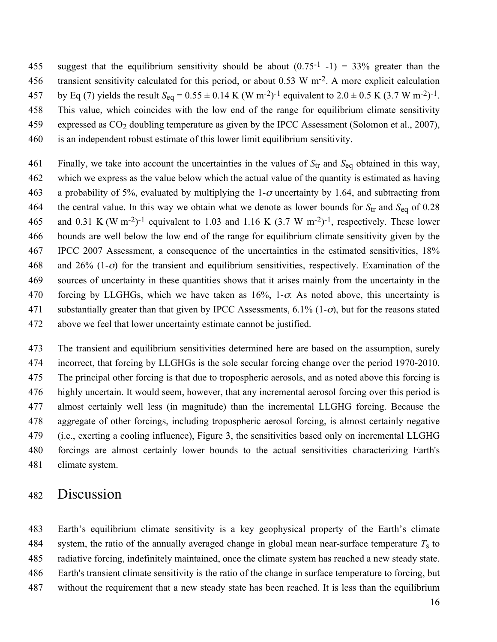455 suggest that the equilibrium sensitivity should be about  $(0.75<sup>-1</sup> -1) = 33%$  greater than the 456 transient sensitivity calculated for this period, or about 0.53 W  $\mathrm{m}^2$ . A more explicit calculation 457 by Eq (7) yields the result  $S_{eq} = 0.55 \pm 0.14$  K (W m<sup>-2</sup>)<sup>-1</sup> equivalent to 2.0  $\pm$  0.5 K (3.7 W m<sup>-2</sup>)<sup>-1</sup>. This value, which coincides with the low end of the range for equilibrium climate sensitivity expressed as CO2 doubling temperature as given by the IPCC Assessment (Solomon et al., 2007), is an independent robust estimate of this lower limit equilibrium sensitivity.

 Finally, we take into account the uncertainties in the values of *S*tr and *S*eq obtained in this way, which we express as the value below which the actual value of the quantity is estimated as having 463 a probability of 5%, evaluated by multiplying the 1- $\sigma$  uncertainty by 1.64, and subtracting from 464 the central value. In this way we obtain what we denote as lower bounds for  $S_{tr}$  and  $S_{eq}$  of 0.28 465 and 0.31 K (W m<sup>-2</sup>)<sup>-1</sup> equivalent to 1.03 and 1.16 K (3.7 W m<sup>-2</sup>)<sup>-1</sup>, respectively. These lower bounds are well below the low end of the range for equilibrium climate sensitivity given by the IPCC 2007 Assessment, a consequence of the uncertainties in the estimated sensitivities, 18% 468 and 26% (1- $\sigma$ ) for the transient and equilibrium sensitivities, respectively. Examination of the sources of uncertainty in these quantities shows that it arises mainly from the uncertainty in the 470 forcing by LLGHGs, which we have taken as  $16\%$ , 1- $\sigma$ . As noted above, this uncertainty is 471 substantially greater than that given by IPCC Assessments,  $6.1\%$  (1- $\sigma$ ), but for the reasons stated above we feel that lower uncertainty estimate cannot be justified.

 The transient and equilibrium sensitivities determined here are based on the assumption, surely incorrect, that forcing by LLGHGs is the sole secular forcing change over the period 1970-2010. The principal other forcing is that due to tropospheric aerosols, and as noted above this forcing is highly uncertain. It would seem, however, that any incremental aerosol forcing over this period is almost certainly well less (in magnitude) than the incremental LLGHG forcing. Because the aggregate of other forcings, including tropospheric aerosol forcing, is almost certainly negative (i.e., exerting a cooling influence), Figure 3, the sensitivities based only on incremental LLGHG forcings are almost certainly lower bounds to the actual sensitivities characterizing Earth's climate system.

### Discussion

 Earth's equilibrium climate sensitivity is a key geophysical property of the Earth's climate 484 system, the ratio of the annually averaged change in global mean near-surface temperature  $T_s$  to radiative forcing, indefinitely maintained, once the climate system has reached a new steady state. Earth's transient climate sensitivity is the ratio of the change in surface temperature to forcing, but without the requirement that a new steady state has been reached. It is less than the equilibrium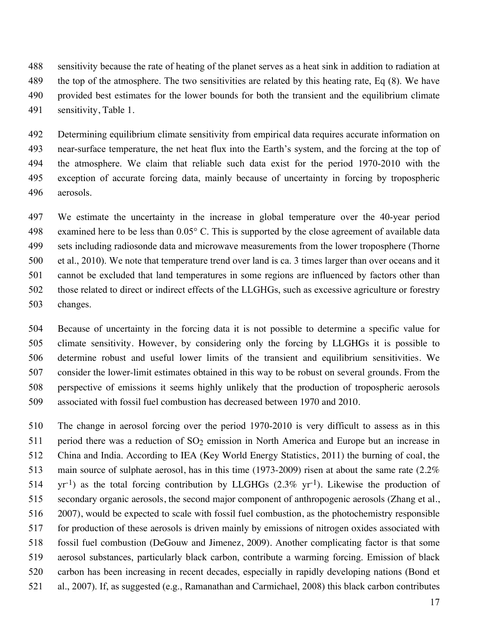sensitivity because the rate of heating of the planet serves as a heat sink in addition to radiation at the top of the atmosphere. The two sensitivities are related by this heating rate, Eq (8). We have provided best estimates for the lower bounds for both the transient and the equilibrium climate sensitivity, Table 1.

 Determining equilibrium climate sensitivity from empirical data requires accurate information on near-surface temperature, the net heat flux into the Earth's system, and the forcing at the top of the atmosphere. We claim that reliable such data exist for the period 1970-2010 with the exception of accurate forcing data, mainly because of uncertainty in forcing by tropospheric aerosols.

 We estimate the uncertainty in the increase in global temperature over the 40-year period examined here to be less than 0.05° C. This is supported by the close agreement of available data sets including radiosonde data and microwave measurements from the lower troposphere (Thorne et al., 2010). We note that temperature trend over land is ca. 3 times larger than over oceans and it cannot be excluded that land temperatures in some regions are influenced by factors other than those related to direct or indirect effects of the LLGHGs, such as excessive agriculture or forestry changes.

 Because of uncertainty in the forcing data it is not possible to determine a specific value for climate sensitivity. However, by considering only the forcing by LLGHGs it is possible to determine robust and useful lower limits of the transient and equilibrium sensitivities. We consider the lower-limit estimates obtained in this way to be robust on several grounds. From the perspective of emissions it seems highly unlikely that the production of tropospheric aerosols associated with fossil fuel combustion has decreased between 1970 and 2010.

 The change in aerosol forcing over the period 1970-2010 is very difficult to assess as in this 511 period there was a reduction of  $SO<sub>2</sub>$  emission in North America and Europe but an increase in China and India. According to IEA (Key World Energy Statistics, 2011) the burning of coal, the 513 main source of sulphate aerosol, has in this time (1973-2009) risen at about the same rate (2.2%  $514 \text{ yr}^{-1}$ ) as the total forcing contribution by LLGHGs (2.3% yr<sup>-1</sup>). Likewise the production of secondary organic aerosols, the second major component of anthropogenic aerosols (Zhang et al., 2007), would be expected to scale with fossil fuel combustion, as the photochemistry responsible for production of these aerosols is driven mainly by emissions of nitrogen oxides associated with fossil fuel combustion (DeGouw and Jimenez, 2009). Another complicating factor is that some aerosol substances, particularly black carbon, contribute a warming forcing. Emission of black carbon has been increasing in recent decades, especially in rapidly developing nations (Bond et al., 2007). If, as suggested (e.g., Ramanathan and Carmichael, 2008) this black carbon contributes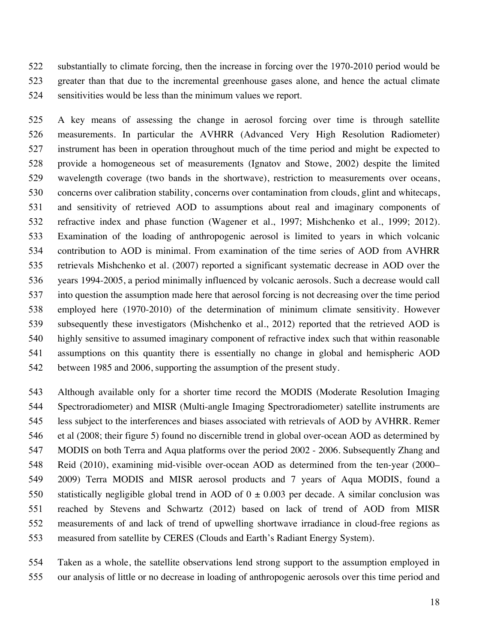substantially to climate forcing, then the increase in forcing over the 1970-2010 period would be greater than that due to the incremental greenhouse gases alone, and hence the actual climate sensitivities would be less than the minimum values we report.

 A key means of assessing the change in aerosol forcing over time is through satellite measurements. In particular the AVHRR (Advanced Very High Resolution Radiometer) instrument has been in operation throughout much of the time period and might be expected to provide a homogeneous set of measurements (Ignatov and Stowe, 2002) despite the limited wavelength coverage (two bands in the shortwave), restriction to measurements over oceans, concerns over calibration stability, concerns over contamination from clouds, glint and whitecaps, and sensitivity of retrieved AOD to assumptions about real and imaginary components of refractive index and phase function (Wagener et al., 1997; Mishchenko et al., 1999; 2012). Examination of the loading of anthropogenic aerosol is limited to years in which volcanic contribution to AOD is minimal. From examination of the time series of AOD from AVHRR retrievals Mishchenko et al. (2007) reported a significant systematic decrease in AOD over the years 1994-2005, a period minimally influenced by volcanic aerosols. Such a decrease would call into question the assumption made here that aerosol forcing is not decreasing over the time period employed here (1970-2010) of the determination of minimum climate sensitivity. However subsequently these investigators (Mishchenko et al., 2012) reported that the retrieved AOD is highly sensitive to assumed imaginary component of refractive index such that within reasonable assumptions on this quantity there is essentially no change in global and hemispheric AOD between 1985 and 2006, supporting the assumption of the present study.

 Although available only for a shorter time record the MODIS (Moderate Resolution Imaging Spectroradiometer) and MISR (Multi-angle Imaging Spectroradiometer) satellite instruments are less subject to the interferences and biases associated with retrievals of AOD by AVHRR. Remer et al (2008; their figure 5) found no discernible trend in global over-ocean AOD as determined by MODIS on both Terra and Aqua platforms over the period 2002 - 2006. Subsequently Zhang and Reid (2010), examining mid-visible over-ocean AOD as determined from the ten-year (2000– 2009) Terra MODIS and MISR aerosol products and 7 years of Aqua MODIS, found a 550 statistically negligible global trend in AOD of  $0 \pm 0.003$  per decade. A similar conclusion was reached by Stevens and Schwartz (2012) based on lack of trend of AOD from MISR measurements of and lack of trend of upwelling shortwave irradiance in cloud-free regions as measured from satellite by CERES (Clouds and Earth's Radiant Energy System).

 Taken as a whole, the satellite observations lend strong support to the assumption employed in our analysis of little or no decrease in loading of anthropogenic aerosols over this time period and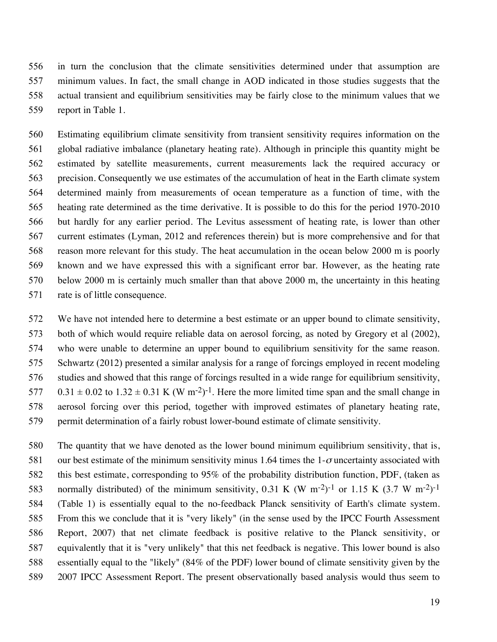in turn the conclusion that the climate sensitivities determined under that assumption are minimum values. In fact, the small change in AOD indicated in those studies suggests that the actual transient and equilibrium sensitivities may be fairly close to the minimum values that we report in Table 1.

 Estimating equilibrium climate sensitivity from transient sensitivity requires information on the global radiative imbalance (planetary heating rate). Although in principle this quantity might be estimated by satellite measurements, current measurements lack the required accuracy or precision. Consequently we use estimates of the accumulation of heat in the Earth climate system determined mainly from measurements of ocean temperature as a function of time, with the heating rate determined as the time derivative. It is possible to do this for the period 1970-2010 but hardly for any earlier period. The Levitus assessment of heating rate, is lower than other current estimates (Lyman, 2012 and references therein) but is more comprehensive and for that reason more relevant for this study. The heat accumulation in the ocean below 2000 m is poorly known and we have expressed this with a significant error bar. However, as the heating rate below 2000 m is certainly much smaller than that above 2000 m, the uncertainty in this heating rate is of little consequence.

 We have not intended here to determine a best estimate or an upper bound to climate sensitivity, both of which would require reliable data on aerosol forcing, as noted by Gregory et al (2002), who were unable to determine an upper bound to equilibrium sensitivity for the same reason. Schwartz (2012) presented a similar analysis for a range of forcings employed in recent modeling studies and showed that this range of forcings resulted in a wide range for equilibrium sensitivity,  $0.31 \pm 0.02$  to  $1.32 \pm 0.31$  K (W m<sup>-2</sup>)<sup>-1</sup>. Here the more limited time span and the small change in aerosol forcing over this period, together with improved estimates of planetary heating rate, permit determination of a fairly robust lower-bound estimate of climate sensitivity.

 The quantity that we have denoted as the lower bound minimum equilibrium sensitivity, that is, 581 our best estimate of the minimum sensitivity minus 1.64 times the 1- $\sigma$  uncertainty associated with this best estimate, corresponding to 95% of the probability distribution function, PDF, (taken as 583 normally distributed) of the minimum sensitivity, 0.31 K (W m<sup>-2</sup>)<sup>-1</sup> or 1.15 K (3.7 W m<sup>-2</sup>)<sup>-1</sup> (Table 1) is essentially equal to the no-feedback Planck sensitivity of Earth's climate system. From this we conclude that it is "very likely" (in the sense used by the IPCC Fourth Assessment Report, 2007) that net climate feedback is positive relative to the Planck sensitivity, or equivalently that it is "very unlikely" that this net feedback is negative. This lower bound is also essentially equal to the "likely" (84% of the PDF) lower bound of climate sensitivity given by the 2007 IPCC Assessment Report. The present observationally based analysis would thus seem to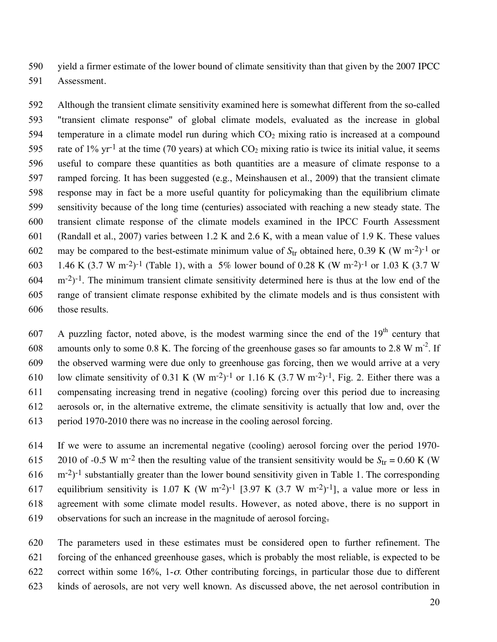yield a firmer estimate of the lower bound of climate sensitivity than that given by the 2007 IPCC Assessment.

 Although the transient climate sensitivity examined here is somewhat different from the so-called "transient climate response" of global climate models, evaluated as the increase in global 594 temperature in a climate model run during which  $CO<sub>2</sub>$  mixing ratio is increased at a compound 595 rate of 1% yr<sup>-1</sup> at the time (70 years) at which  $CO<sub>2</sub>$  mixing ratio is twice its initial value, it seems useful to compare these quantities as both quantities are a measure of climate response to a ramped forcing. It has been suggested (e.g., Meinshausen et al., 2009) that the transient climate response may in fact be a more useful quantity for policymaking than the equilibrium climate sensitivity because of the long time (centuries) associated with reaching a new steady state. The transient climate response of the climate models examined in the IPCC Fourth Assessment (Randall et al., 2007) varies between 1.2 K and 2.6 K, with a mean value of 1.9 K. These values 602 may be compared to the best-estimate minimum value of  $S_{tr}$  obtained here, 0.39 K (W m<sup>-2</sup>)<sup>-1</sup> or 603 1.46 K (3.7 W m<sup>-2</sup>)<sup>-1</sup> (Table 1), with a 5% lower bound of 0.28 K (W m<sup>-2</sup>)<sup>-1</sup> or 1.03 K (3.7 W m<sup>-2</sup>)<sup>-1</sup>. The minimum transient climate sensitivity determined here is thus at the low end of the range of transient climate response exhibited by the climate models and is thus consistent with those results.

607 A puzzling factor, noted above, is the modest warming since the end of the  $19<sup>th</sup>$  century that 608 amounts only to some 0.8 K. The forcing of the greenhouse gases so far amounts to 2.8 W m<sup>-2</sup>. If the observed warming were due only to greenhouse gas forcing, then we would arrive at a very 610 low climate sensitivity of 0.31 K (W m<sup>-2</sup>)<sup>-1</sup> or 1.16 K (3.7 W m<sup>-2</sup>)<sup>-1</sup>, Fig. 2. Either there was a compensating increasing trend in negative (cooling) forcing over this period due to increasing aerosols or, in the alternative extreme, the climate sensitivity is actually that low and, over the period 1970-2010 there was no increase in the cooling aerosol forcing.

 If we were to assume an incremental negative (cooling) aerosol forcing over the period 1970- 2010 of -0.5 W m<sup>-2</sup> then the resulting value of the transient sensitivity would be  $S_{tr} = 0.60$  K (W m<sup>-2</sup>)<sup>-1</sup> substantially greater than the lower bound sensitivity given in Table 1. The corresponding 617 equilibrium sensitivity is 1.07 K (W m<sup>-2</sup>)<sup>-1</sup> [3.97 K (3.7 W m<sup>-2</sup>)<sup>-1</sup>], a value more or less in agreement with some climate model results. However, as noted above, there is no support in observations for such an increase in the magnitude of aerosol forcing.

 The parameters used in these estimates must be considered open to further refinement. The forcing of the enhanced greenhouse gases, which is probably the most reliable, is expected to be 622 correct within some  $16\%$ , 1- $\sigma$ . Other contributing forcings, in particular those due to different kinds of aerosols, are not very well known. As discussed above, the net aerosol contribution in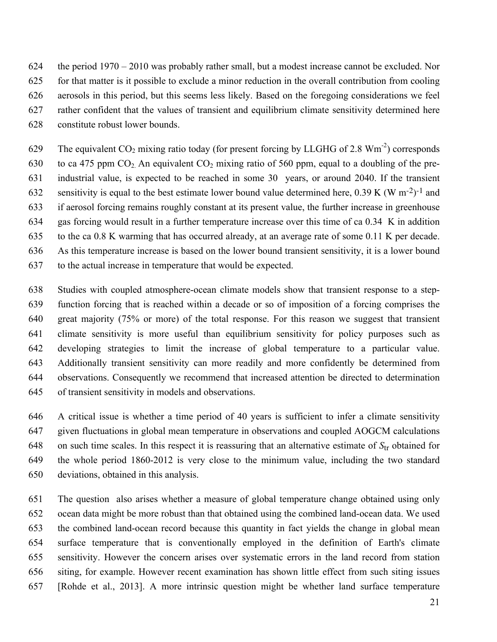the period 1970 – 2010 was probably rather small, but a modest increase cannot be excluded. Nor for that matter is it possible to exclude a minor reduction in the overall contribution from cooling aerosols in this period, but this seems less likely. Based on the foregoing considerations we feel rather confident that the values of transient and equilibrium climate sensitivity determined here constitute robust lower bounds.

629 The equivalent  $CO_2$  mixing ratio today (for present forcing by LLGHG of 2.8 Wm<sup>-2</sup>) corresponds 630 to ca 475 ppm  $CO<sub>2</sub>$ . An equivalent  $CO<sub>2</sub>$  mixing ratio of 560 ppm, equal to a doubling of the pre- industrial value, is expected to be reached in some 30 years, or around 2040. If the transient 632 sensitivity is equal to the best estimate lower bound value determined here, 0.39 K (W m<sup>-2</sup>)<sup>-1</sup> and if aerosol forcing remains roughly constant at its present value, the further increase in greenhouse gas forcing would result in a further temperature increase over this time of ca 0.34 K in addition to the ca 0.8 K warming that has occurred already, at an average rate of some 0.11 K per decade. As this temperature increase is based on the lower bound transient sensitivity, it is a lower bound to the actual increase in temperature that would be expected.

 Studies with coupled atmosphere-ocean climate models show that transient response to a step- function forcing that is reached within a decade or so of imposition of a forcing comprises the great majority (75% or more) of the total response. For this reason we suggest that transient climate sensitivity is more useful than equilibrium sensitivity for policy purposes such as developing strategies to limit the increase of global temperature to a particular value. Additionally transient sensitivity can more readily and more confidently be determined from observations. Consequently we recommend that increased attention be directed to determination of transient sensitivity in models and observations.

 A critical issue is whether a time period of 40 years is sufficient to infer a climate sensitivity given fluctuations in global mean temperature in observations and coupled AOGCM calculations on such time scales. In this respect it is reassuring that an alternative estimate of *S*tr obtained for the whole period 1860-2012 is very close to the minimum value, including the two standard deviations, obtained in this analysis.

 The question also arises whether a measure of global temperature change obtained using only ocean data might be more robust than that obtained using the combined land-ocean data. We used the combined land-ocean record because this quantity in fact yields the change in global mean surface temperature that is conventionally employed in the definition of Earth's climate sensitivity. However the concern arises over systematic errors in the land record from station siting, for example. However recent examination has shown little effect from such siting issues [Rohde et al., 2013]. A more intrinsic question might be whether land surface temperature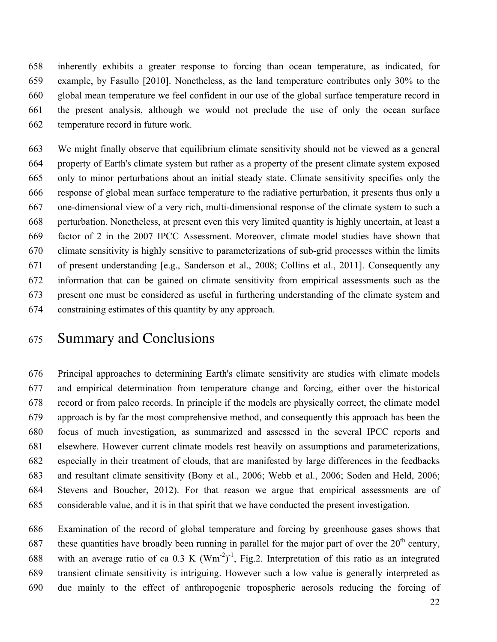inherently exhibits a greater response to forcing than ocean temperature, as indicated, for example, by Fasullo [2010]. Nonetheless, as the land temperature contributes only 30% to the global mean temperature we feel confident in our use of the global surface temperature record in the present analysis, although we would not preclude the use of only the ocean surface temperature record in future work.

 We might finally observe that equilibrium climate sensitivity should not be viewed as a general property of Earth's climate system but rather as a property of the present climate system exposed only to minor perturbations about an initial steady state. Climate sensitivity specifies only the response of global mean surface temperature to the radiative perturbation, it presents thus only a one-dimensional view of a very rich, multi-dimensional response of the climate system to such a perturbation. Nonetheless, at present even this very limited quantity is highly uncertain, at least a factor of 2 in the 2007 IPCC Assessment. Moreover, climate model studies have shown that climate sensitivity is highly sensitive to parameterizations of sub-grid processes within the limits of present understanding [e.g., Sanderson et al., 2008; Collins et al., 2011]. Consequently any information that can be gained on climate sensitivity from empirical assessments such as the present one must be considered as useful in furthering understanding of the climate system and constraining estimates of this quantity by any approach.

# Summary and Conclusions

 Principal approaches to determining Earth's climate sensitivity are studies with climate models and empirical determination from temperature change and forcing, either over the historical record or from paleo records. In principle if the models are physically correct, the climate model approach is by far the most comprehensive method, and consequently this approach has been the focus of much investigation, as summarized and assessed in the several IPCC reports and elsewhere. However current climate models rest heavily on assumptions and parameterizations, especially in their treatment of clouds, that are manifested by large differences in the feedbacks and resultant climate sensitivity (Bony et al., 2006; Webb et al., 2006; Soden and Held, 2006; Stevens and Boucher, 2012). For that reason we argue that empirical assessments are of considerable value, and it is in that spirit that we have conducted the present investigation.

 Examination of the record of global temperature and forcing by greenhouse gases shows that 687 these quantities have broadly been running in parallel for the major part of over the  $20<sup>th</sup>$  century, 688 with an average ratio of ca 0.3 K  $(Wm^{-2})^{-1}$ , Fig.2. Interpretation of this ratio as an integrated transient climate sensitivity is intriguing. However such a low value is generally interpreted as due mainly to the effect of anthropogenic tropospheric aerosols reducing the forcing of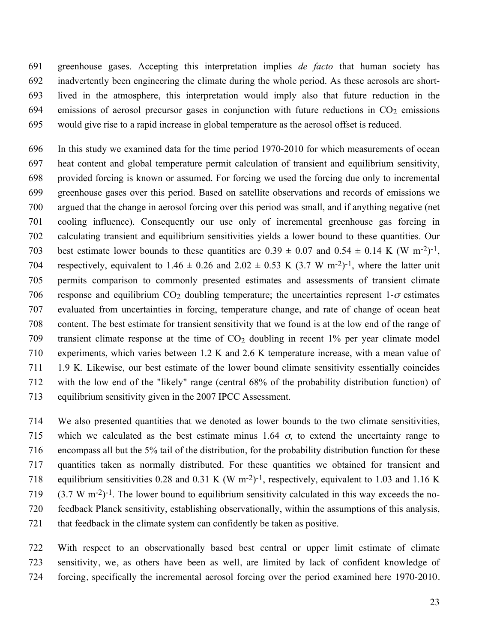greenhouse gases. Accepting this interpretation implies *de facto* that human society has inadvertently been engineering the climate during the whole period. As these aerosols are short- lived in the atmosphere, this interpretation would imply also that future reduction in the 694 emissions of aerosol precursor gases in conjunction with future reductions in  $CO<sub>2</sub>$  emissions would give rise to a rapid increase in global temperature as the aerosol offset is reduced.

 In this study we examined data for the time period 1970-2010 for which measurements of ocean heat content and global temperature permit calculation of transient and equilibrium sensitivity, provided forcing is known or assumed. For forcing we used the forcing due only to incremental greenhouse gases over this period. Based on satellite observations and records of emissions we argued that the change in aerosol forcing over this period was small, and if anything negative (net cooling influence). Consequently our use only of incremental greenhouse gas forcing in calculating transient and equilibrium sensitivities yields a lower bound to these quantities. Our 703 best estimate lower bounds to these quantities are  $0.39 \pm 0.07$  and  $0.54 \pm 0.14$  K (W m<sup>-2</sup>)<sup>-1</sup>, 704 respectively, equivalent to 1.46  $\pm$  0.26 and 2.02  $\pm$  0.53 K (3.7 W m<sup>-2</sup>)<sup>-1</sup>, where the latter unit permits comparison to commonly presented estimates and assessments of transient climate 706 response and equilibrium CO<sub>2</sub> doubling temperature; the uncertainties represent  $1-\sigma$  estimates evaluated from uncertainties in forcing, temperature change, and rate of change of ocean heat content. The best estimate for transient sensitivity that we found is at the low end of the range of 709 transient climate response at the time of  $CO<sub>2</sub>$  doubling in recent 1% per year climate model experiments, which varies between 1.2 K and 2.6 K temperature increase, with a mean value of 1.9 K. Likewise, our best estimate of the lower bound climate sensitivity essentially coincides with the low end of the "likely" range (central 68% of the probability distribution function) of equilibrium sensitivity given in the 2007 IPCC Assessment.

 We also presented quantities that we denoted as lower bounds to the two climate sensitivities, 715 which we calculated as the best estimate minus 1.64  $\sigma$ , to extend the uncertainty range to encompass all but the 5% tail of the distribution, for the probability distribution function for these quantities taken as normally distributed. For these quantities we obtained for transient and 718 equilibrium sensitivities 0.28 and 0.31 K (W m<sup>-2</sup>)<sup>-1</sup>, respectively, equivalent to 1.03 and 1.16 K (3.7 W m<sup>-2</sup>)<sup>-1</sup>. The lower bound to equilibrium sensitivity calculated in this way exceeds the no- feedback Planck sensitivity, establishing observationally, within the assumptions of this analysis, that feedback in the climate system can confidently be taken as positive.

 With respect to an observationally based best central or upper limit estimate of climate sensitivity, we, as others have been as well, are limited by lack of confident knowledge of forcing, specifically the incremental aerosol forcing over the period examined here 1970-2010.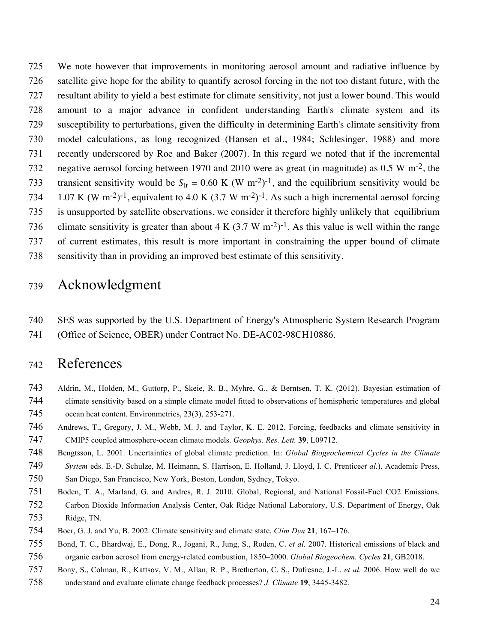We note however that improvements in monitoring aerosol amount and radiative influence by satellite give hope for the ability to quantify aerosol forcing in the not too distant future, with the resultant ability to yield a best estimate for climate sensitivity, not just a lower bound. This would amount to a major advance in confident understanding Earth's climate system and its susceptibility to perturbations, given the difficulty in determining Earth's climate sensitivity from model calculations, as long recognized (Hansen et al., 1984; Schlesinger, 1988) and more recently underscored by Roe and Baker (2007). In this regard we noted that if the incremental 732 negative aerosol forcing between 1970 and 2010 were as great (in magnitude) as 0.5 W m<sup>-2</sup>, the 733 transient sensitivity would be  $S_{tr} = 0.60 \text{ K}$  (W m<sup>-2</sup>)<sup>-1</sup>, and the equilibrium sensitivity would be 734 1.07 K (W m<sup>-2</sup>)<sup>-1</sup>, equivalent to 4.0 K (3.7 W m<sup>-2</sup>)<sup>-1</sup>. As such a high incremental aerosol forcing is unsupported by satellite observations, we consider it therefore highly unlikely that equilibrium 736 climate sensitivity is greater than about 4 K  $(3.7 \text{ W m}^{-2})^{-1}$ . As this value is well within the range of current estimates, this result is more important in constraining the upper bound of climate sensitivity than in providing an improved best estimate of this sensitivity.

## Acknowledgment

 SES was supported by the U.S. Department of Energy's Atmospheric System Research Program (Office of Science, OBER) under Contract No. DE-AC02-98CH10886.

## References

- Aldrin, M., Holden, M., Guttorp, P., Skeie, R. B., Myhre, G., & Berntsen, T. K. (2012). Bayesian estimation of climate sensitivity based on a simple climate model fitted to observations of hemispheric temperatures and global ocean heat content. Environmetrics, 23(3), 253-271.
- Andrews, T., Gregory, J. M., Webb, M. J. and Taylor, K. E. 2012. Forcing, feedbacks and climate sensitivity in CMIP5 coupled atmosphere-ocean climate models. *Geophys. Res. Lett.* **39**, L09712.
- Bengtsson, L. 2001. Uncertainties of global climate prediction. In: *Global Biogeochemical Cycles in the Climate System* eds. E.-D. Schulze, M. Heimann, S. Harrison, E. Holland, J. Lloyd, I. C. Prentice*et al.*). Academic Press,
- San Diego, San Francisco, New York, Boston, London, Sydney, Tokyo.
- Boden, T. A., Marland, G. and Andres, R. J. 2010. Global, Regional, and National Fossil-Fuel CO2 Emissions. Carbon Dioxide Information Analysis Center, Oak Ridge National Laboratory, U.S. Department of Energy, Oak Ridge, TN.
- Boer, G. J. and Yu, B. 2002. Climate sensitivity and climate state. *Clim Dyn* **21**, 167–176.
- Bond, T. C., Bhardwaj, E., Dong, R., Jogani, R., Jung, S., Roden, C. *et al.* 2007. Historical emissions of black and organic carbon aerosol from energy-related combustion, 1850–2000. *Global Biogeochem. Cycles* **21**, GB2018.
- Bony, S., Colman, R., Kattsov, V. M., Allan, R. P., Bretherton, C. S., Dufresne, J.-L. *et al.* 2006. How well do we understand and evaluate climate change feedback processes? *J. Climate* **19**, 3445-3482.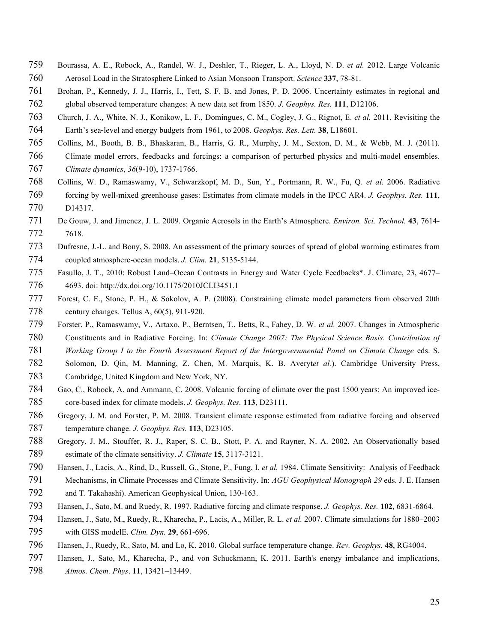- Bourassa, A. E., Robock, A., Randel, W. J., Deshler, T., Rieger, L. A., Lloyd, N. D. *et al.* 2012. Large Volcanic Aerosol Load in the Stratosphere Linked to Asian Monsoon Transport. *Science* **337**, 78-81.
- Brohan, P., Kennedy, J. J., Harris, I., Tett, S. F. B. and Jones, P. D. 2006. Uncertainty estimates in regional and global observed temperature changes: A new data set from 1850. *J. Geophys. Res.* **111**, D12106.
- Church, J. A., White, N. J., Konikow, L. F., Domingues, C. M., Cogley, J. G., Rignot, E. *et al.* 2011. Revisiting the 764 Earth's sea-level and energy budgets from 1961, to 2008. *Geophys. Res. Lett.* **38**, L18601.
- Collins, M., Booth, B. B., Bhaskaran, B., Harris, G. R., Murphy, J. M., Sexton, D. M., & Webb, M. J. (2011).
- Climate model errors, feedbacks and forcings: a comparison of perturbed physics and multi-model ensembles. *Climate dynamics*, *36*(9-10), 1737-1766.
- Collins, W. D., Ramaswamy, V., Schwarzkopf, M. D., Sun, Y., Portmann, R. W., Fu, Q. *et al.* 2006. Radiative forcing by well-mixed greenhouse gases: Estimates from climate models in the IPCC AR4. *J. Geophys. Res.* **111**, D14317.
- De Gouw, J. and Jimenez, J. L. 2009. Organic Aerosols in the Earth's Atmosphere. *Environ. Sci. Technol.* **43**, 7614- 7618.
- Dufresne, J.-L. and Bony, S. 2008. An assessment of the primary sources of spread of global warming estimates from coupled atmosphere-ocean models. *J. Clim.* **21**, 5135-5144.
- Fasullo, J. T., 2010: Robust Land–Ocean Contrasts in Energy and Water Cycle Feedbacks\*. J. Climate, 23, 4677– 4693. doi: http://dx.doi.org/10.1175/2010JCLI3451.1
- Forest, C. E., Stone, P. H., & Sokolov, A. P. (2008). Constraining climate model parameters from observed 20th century changes. Tellus A, 60(5), 911-920.
- Forster, P., Ramaswamy, V., Artaxo, P., Berntsen, T., Betts, R., Fahey, D. W. *et al.* 2007. Changes in Atmospheric Constituents and in Radiative Forcing. In: *Climate Change 2007: The Physical Science Basis. Contribution of*
- *Working Group I to the Fourth Assessment Report of the Intergovernmental Panel on Climate Change* eds. S.
- Solomon, D. Qin, M. Manning, Z. Chen, M. Marquis, K. B. Averyt*et al.*). Cambridge University Press, Cambridge, United Kingdom and New York, NY.
- Gao, C., Robock, A. and Ammann, C. 2008. Volcanic forcing of climate over the past 1500 years: An improved ice-core-based index for climate models. *J. Geophys. Res.* **113**, D23111.
- Gregory, J. M. and Forster, P. M. 2008. Transient climate response estimated from radiative forcing and observed temperature change. *J. Geophys. Res.* **113**, D23105.
- Gregory, J. M., Stouffer, R. J., Raper, S. C. B., Stott, P. A. and Rayner, N. A. 2002. An Observationally based estimate of the climate sensitivity. *J. Climate* **15**, 3117-3121.
- Hansen, J., Lacis, A., Rind, D., Russell, G., Stone, P., Fung, I. *et al.* 1984. Climate Sensitivity: Analysis of Feedback Mechanisms, in Climate Processes and Climate Sensitivity. In: *AGU Geophysical Monograph 29* eds. J. E. Hansen and T. Takahashi). American Geophysical Union, 130-163.
- Hansen, J., Sato, M. and Ruedy, R. 1997. Radiative forcing and climate response. *J. Geophys. Res.* **102**, 6831-6864.
- Hansen, J., Sato, M., Ruedy, R., Kharecha, P., Lacis, A., Miller, R. L. *et al.* 2007. Climate simulations for 1880–2003 with GISS modelE. *Clim. Dyn.* **29**, 661-696.
- Hansen, J., Ruedy, R., Sato, M. and Lo, K. 2010. Global surface temperature change. *Rev. Geophys.* **48**, RG4004.
- Hansen, J., Sato, M., Kharecha, P., and von Schuckmann, K. 2011. Earth's energy imbalance and implications, *Atmos. Chem. Phys*. **11**, 13421–13449.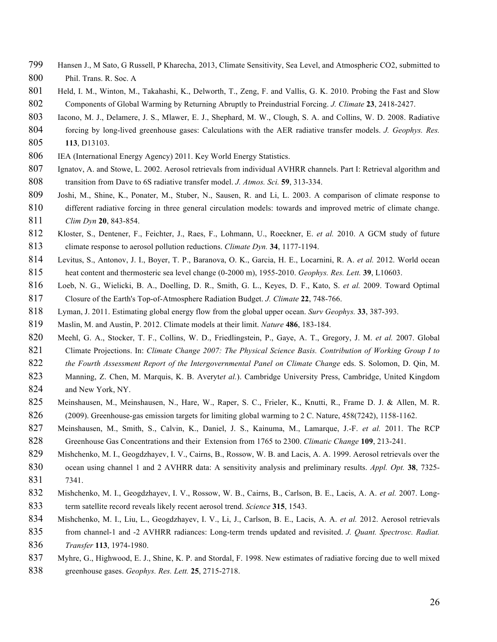- Hansen J., M Sato, G Russell, P Kharecha, 2013, Climate Sensitivity, Sea Level, and Atmospheric CO2, submitted to Phil. Trans. R. Soc. A
- Held, I. M., Winton, M., Takahashi, K., Delworth, T., Zeng, F. and Vallis, G. K. 2010. Probing the Fast and Slow Components of Global Warming by Returning Abruptly to Preindustrial Forcing. *J. Climate* **23**, 2418-2427.
- Iacono, M. J., Delamere, J. S., Mlawer, E. J., Shephard, M. W., Clough, S. A. and Collins, W. D. 2008. Radiative forcing by long-lived greenhouse gases: Calculations with the AER radiative transfer models. *J. Geophys. Res.*
- **113**, D13103.
- IEA (International Energy Agency) 2011. Key World Energy Statistics.
- Ignatov, A. and Stowe, L. 2002. Aerosol retrievals from individual AVHRR channels. Part I: Retrieval algorithm and transition from Dave to 6S radiative transfer model. *J. Atmos. Sci.* **59**, 313-334.
- Joshi, M., Shine, K., Ponater, M., Stuber, N., Sausen, R. and Li, L. 2003. A comparison of climate response to different radiative forcing in three general circulation models: towards and improved metric of climate change. *Clim Dyn* **20**, 843-854.
- Kloster, S., Dentener, F., Feichter, J., Raes, F., Lohmann, U., Roeckner, E. *et al.* 2010. A GCM study of future climate response to aerosol pollution reductions. *Climate Dyn.* **34**, 1177-1194.
- Levitus, S., Antonov, J. I., Boyer, T. P., Baranova, O. K., Garcia, H. E., Locarnini, R. A. *et al.* 2012. World ocean heat content and thermosteric sea level change (0-2000 m), 1955-2010. *Geophys. Res. Lett.* **39**, L10603.
- Loeb, N. G., Wielicki, B. A., Doelling, D. R., Smith, G. L., Keyes, D. F., Kato, S. *et al.* 2009. Toward Optimal Closure of the Earth's Top-of-Atmosphere Radiation Budget. *J. Climate* **22**, 748-766.
- Lyman, J. 2011. Estimating global energy flow from the global upper ocean. *Surv Geophys.* **33**, 387-393.
- Maslin, M. and Austin, P. 2012. Climate models at their limit. *Nature* **486**, 183-184.
- Meehl, G. A., Stocker, T. F., Collins, W. D., Friedlingstein, P., Gaye, A. T., Gregory, J. M. *et al.* 2007. Global Climate Projections. In: *Climate Change 2007: The Physical Science Basis. Contribution of Working Group I to*
- *the Fourth Assessment Report of the Intergovernmental Panel on Climate Change* eds. S. Solomon, D. Qin, M.
- Manning, Z. Chen, M. Marquis, K. B. Averyt*et al.*). Cambridge University Press, Cambridge, United Kingdom 824 and New York, NY.
- Meinshausen, M., Meinshausen, N., Hare, W., Raper, S. C., Frieler, K., Knutti, R., Frame D. J. & Allen, M. R. (2009). Greenhouse-gas emission targets for limiting global warming to 2 C. Nature, 458(7242), 1158-1162.
- Meinshausen, M., Smith, S., Calvin, K., Daniel, J. S., Kainuma, M., Lamarque, J.-F. *et al.* 2011. The RCP Greenhouse Gas Concentrations and their Extension from 1765 to 2300. *Climatic Change* **109**, 213-241.
- 829 Mishchenko, M. I., Geogdzhayev, I. V., Cairns, B., Rossow, W. B. and Lacis, A. A. 1999. Aerosol retrievals over the ocean using channel 1 and 2 AVHRR data: A sensitivity analysis and preliminary results. *Appl. Opt.* **38**, 7325- 7341.
- Mishchenko, M. I., Geogdzhayev, I. V., Rossow, W. B., Cairns, B., Carlson, B. E., Lacis, A. A. *et al.* 2007. Long-term satellite record reveals likely recent aerosol trend. *Science* **315**, 1543.
- Mishchenko, M. I., Liu, L., Geogdzhayev, I. V., Li, J., Carlson, B. E., Lacis, A. A. *et al.* 2012. Aerosol retrievals
- from channel-1 and -2 AVHRR radiances: Long-term trends updated and revisited. *J. Quant. Spectrosc. Radiat. Transfer* **113**, 1974-1980.
- 837 Myhre, G., Highwood, E. J., Shine, K. P. and Stordal, F. 1998. New estimates of radiative forcing due to well mixed
- greenhouse gases. *Geophys. Res. Lett.* **25**, 2715-2718.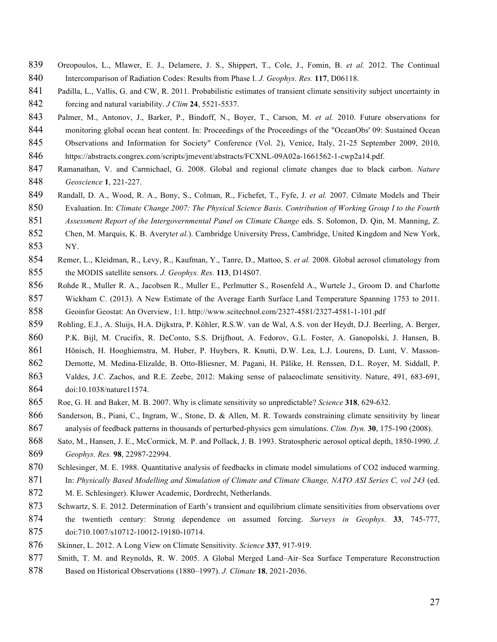- Oreopoulos, L., Mlawer, E. J., Delamere, J. S., Shippert, T., Cole, J., Fomin, B. *et al.* 2012. The Continual Intercomparison of Radiation Codes: Results from Phase I. *J. Geophys. Res.* **117**, D06118.
- 841 Padilla, L., Vallis, G. and CW, R. 2011. Probabilistic estimates of transient climate sensitivity subject uncertainty in forcing and natural variability. *J Clim* **24**, 5521-5537.
- Palmer, M., Antonov, J., Barker, P., Bindoff, N., Boyer, T., Carson, M. *et al.* 2010. Future observations for 844 monitoring global ocean heat content. In: Proceedings of the Proceedings of the "OceanObs' 09: Sustained Ocean
- Observations and Information for Society" Conference (Vol. 2), Venice, Italy, 21-25 September 2009, 2010,
- https://abstracts.congrex.com/scripts/jmevent/abstracts/FCXNL-09A02a-1661562-1-cwp2a14.pdf.
- Ramanathan, V. and Carmichael, G. 2008. Global and regional climate changes due to black carbon. *Nature Geoscience* **1**, 221-227.
- Randall, D. A., Wood, R. A., Bony, S., Colman, R., Fichefet, T., Fyfe, J. *et al.* 2007. Cilmate Models and Their Evaluation. In: *Climate Change 2007: The Physical Science Basis. Contribution of Working Group I to the Fourth*
- *Assessment Report of the Intergovernmental Panel on Climate Change* eds. S. Solomon, D. Qin, M. Manning, Z.
- Chen, M. Marquis, K. B. Averyt*et al.*). Cambridge University Press, Cambridge, United Kingdom and New York,
- NY.
- Remer, L., Kleidman, R., Levy, R., Kaufman, Y., Tanre, D., Mattoo, S. *et al.* 2008. Global aerosol climatology from the MODIS satellite sensors. *J. Geophys. Res.* **113**, D14S07.
- Rohde R., Muller R. A., Jacobsen R., Muller E., Perlmutter S., Rosenfeld A., Wurtele J., Groom D. and Charlotte Wickham C. (2013). A New Estimate of the Average Earth Surface Land Temperature Spanning 1753 to 2011. Geoinfor Geostat: An Overview, 1:1. http://www.scitechnol.com/2327-4581/2327-4581-1-101.pdf
- Rohling, E.J., A. Sluijs, H.A. Dijkstra, P. Köhler, R.S.W. van de Wal, A.S. von der Heydt, D.J. Beerling, A. Berger, P.K. Bijl, M. Crucifix, R. DeConto, S.S. Drijfhout, A. Fedorov, G.L. Foster, A. Ganopolski, J. Hansen, B.
- Hönisch, H. Hooghiemstra, M. Huber, P. Huybers, R. Knutti, D.W. Lea, L.J. Lourens, D. Lunt, V. Masson-
- Demotte, M. Medina-Elizalde, B. Otto-Bliesner, M. Pagani, H. Pälike, H. Renssen, D.L. Royer, M. Siddall, P.
- Valdes, J.C. Zachos, and R.E. Zeebe, 2012: Making sense of palaeoclimate sensitivity. Nature, 491, 683-691, doi:10.1038/nature11574.
- Roe, G. H. and Baker, M. B. 2007. Why is climate sensitivity so unpredictable? *Science* **318**, 629-632.
- Sanderson, B., Piani, C., Ingram, W., Stone, D. & Allen, M. R. Towards constraining climate sensitivity by linear analysis of feedback patterns in thousands of perturbed-physics gcm simulations. *Clim. Dyn.* **30**, 175-190 (2008).
- Sato, M., Hansen, J. E., McCormick, M. P. and Pollack, J. B. 1993. Stratospheric aerosol optical depth, 1850-1990. *J. Geophys. Res.* **98**, 22987-22994.
- 870 Schlesinger, M. E. 1988. Quantitative analysis of feedbacks in climate model simulations of CO2 induced warming.
- In: *Physically Based Modelling and Simulation of Climate and Climate Change, NATO ASI Series C, vol 243* (ed. M. E. Schlesinger). Kluwer Academic, Dordrecht, Netherlands.
- Schwartz, S. E. 2012. Determination of Earth's transient and equilibrium climate sensitivities from observations over the twentieth century: Strong dependence on assumed forcing. *Surveys in Geophys.* **33**, 745-777, doi:710.1007/s10712-10012-19180-10714.
- Skinner, L. 2012. A Long View on Climate Sensitivity. *Science* **337**, 917-919.
- 877 Smith, T. M. and Reynolds, R. W. 2005. A Global Merged Land–Air–Sea Surface Temperature Reconstruction
- Based on Historical Observations (1880–1997). *J. Climate* **18**, 2021-2036.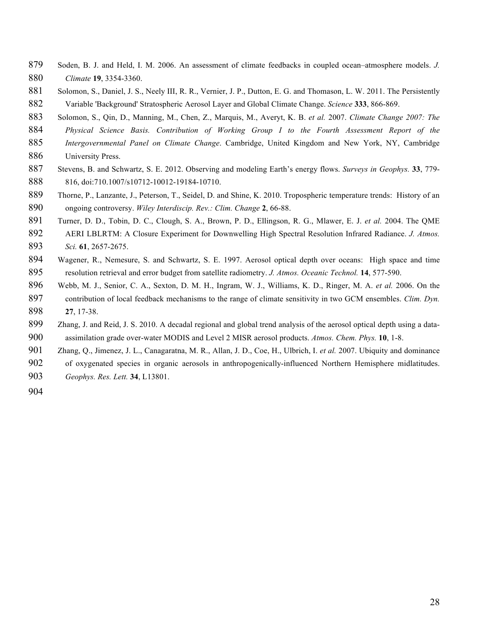- Soden, B. J. and Held, I. M. 2006. An assessment of climate feedbacks in coupled ocean–atmosphere models. *J. Climate* **19**, 3354-3360.
- 881 Solomon, S., Daniel, J. S., Neely III, R. R., Vernier, J. P., Dutton, E. G. and Thomason, L. W. 2011. The Persistently Variable 'Background' Stratospheric Aerosol Layer and Global Climate Change. *Science* **333**, 866-869.
- Solomon, S., Qin, D., Manning, M., Chen, Z., Marquis, M., Averyt, K. B. *et al.* 2007. *Climate Change 2007: The Physical Science Basis. Contribution of Working Group I to the Fourth Assessment Report of the*
- *Intergovernmental Panel on Climate Change*. Cambridge, United Kingdom and New York, NY, Cambridge
- 886 University Press.
- Stevens, B. and Schwartz, S. E. 2012. Observing and modeling Earth's energy flows. *Surveys in Geophys.* **33**, 779- 816, doi:710.1007/s10712-10012-19184-10710.
- Thorne, P., Lanzante, J., Peterson, T., Seidel, D. and Shine, K. 2010. Tropospheric temperature trends: History of an ongoing controversy. *Wiley Interdiscip. Rev.: Clim. Change* **2**, 66-88.
- Turner, D. D., Tobin, D. C., Clough, S. A., Brown, P. D., Ellingson, R. G., Mlawer, E. J. *et al.* 2004. The QME AERI LBLRTM: A Closure Experiment for Downwelling High Spectral Resolution Infrared Radiance. *J. Atmos. Sci.* **61**, 2657-2675.
- Wagener, R., Nemesure, S. and Schwartz, S. E. 1997. Aerosol optical depth over oceans: High space and time resolution retrieval and error budget from satellite radiometry. *J. Atmos. Oceanic Technol.* **14**, 577-590.
- Webb, M. J., Senior, C. A., Sexton, D. M. H., Ingram, W. J., Williams, K. D., Ringer, M. A. *et al.* 2006. On the contribution of local feedback mechanisms to the range of climate sensitivity in two GCM ensembles. *Clim. Dyn.* **27**, 17-38.
- Zhang, J. and Reid, J. S. 2010. A decadal regional and global trend analysis of the aerosol optical depth using a data-assimilation grade over-water MODIS and Level 2 MISR aerosol products. *Atmos. Chem. Phys.* **10**, 1-8.
- Zhang, Q., Jimenez, J. L., Canagaratna, M. R., Allan, J. D., Coe, H., Ulbrich, I. *et al.* 2007. Ubiquity and dominance
- of oxygenated species in organic aerosols in anthropogenically-influenced Northern Hemisphere midlatitudes.
- *Geophys. Res. Lett.* **34**, L13801.
-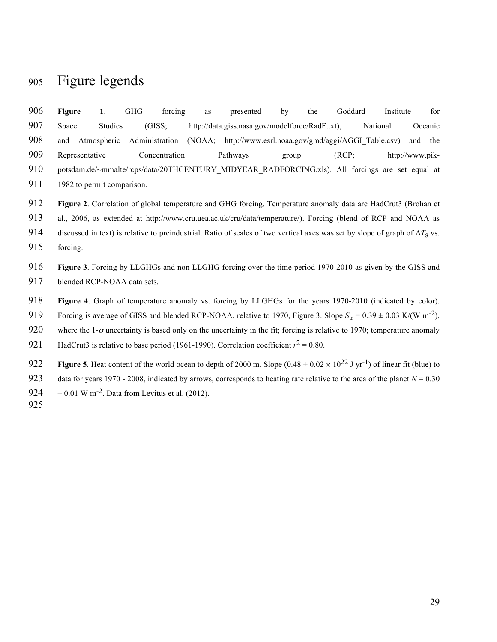### Figure legends

| 906 | <b>Figure</b>                                                                                   |                | <b>GHG</b> | forcing        | as | presented                                                | bv    | the | Goddard | Institute |                 | for     |
|-----|-------------------------------------------------------------------------------------------------|----------------|------------|----------------|----|----------------------------------------------------------|-------|-----|---------|-----------|-----------------|---------|
| 907 | Space                                                                                           | <b>Studies</b> |            | (GISS:         |    | http://data.giss.nasa.gov/modelforce/RadF.txt),          |       |     |         | National  |                 | Oceanic |
| 908 | and                                                                                             | Atmospheric    |            | Administration |    | (NOAA; http://www.esrl.noaa.gov/gmd/aggi/AGGI Table.csv) |       |     |         |           | and             | the     |
| 909 | Representative                                                                                  |                |            | Concentration  |    | Pathways                                                 | group |     | (RCP)   |           | http://www.pik- |         |
| 910 | potsdam.de/~mmalte/rcps/data/20THCENTURY MIDYEAR RADFORCING.xls). All forcings are set equal at |                |            |                |    |                                                          |       |     |         |           |                 |         |
| 911 | 1982 to permit comparison.                                                                      |                |            |                |    |                                                          |       |     |         |           |                 |         |

**Figure 2**. Correlation of global temperature and GHG forcing. Temperature anomaly data are HadCrut3 (Brohan et

al., 2006, as extended at http://www.cru.uea.ac.uk/cru/data/temperature/). Forcing (blend of RCP and NOAA as

discussed in text) is relative to preindustrial. Ratio of scales of two vertical axes was set by slope of graph of Δ*T*s vs.

forcing.

 **Figure 3**. Forcing by LLGHGs and non LLGHG forcing over the time period 1970-2010 as given by the GISS and blended RCP-NOAA data sets.

**Figure 4**. Graph of temperature anomaly vs. forcing by LLGHGs for the years 1970-2010 (indicated by color).

Forcing is average of GISS and blended RCP-NOAA, relative to 1970, Figure 3. Slope  $S_{\text{tr}} = 0.39 \pm 0.03 \text{ K/(W m}^{-2})$ ,

920 where the 1- $\sigma$  uncertainty is based only on the uncertainty in the fit; forcing is relative to 1970; temperature anomaly

921 HadCrut3 is relative to base period (1961-1990). Correlation coefficient  $r^2 = 0.80$ .

**Figure 5**. Heat content of the world ocean to depth of 2000 m. Slope  $(0.48 \pm 0.02 \times 10^{22} \text{ J yr}^{-1})$  of linear fit (blue) to 923 data for years 1970 - 2008, indicated by arrows, corresponds to heating rate relative to the area of the planet  $N = 0.30$  $924 \pm 0.01 \text{ W m}^{-2}$ . Data from Levitus et al. (2012).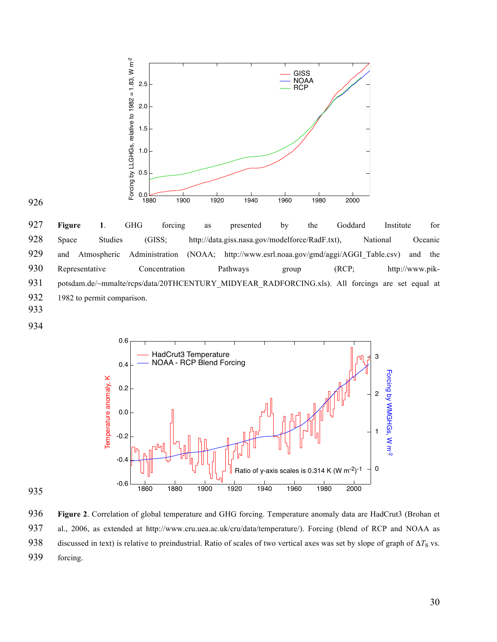

926

927 **Figure 1**. GHG forcing as presented by the Goddard Institute for 928 Space Studies (GISS; http://data.giss.nasa.gov/modelforce/RadF.txt), National Oceanic 929 and Atmospheric Administration (NOAA; http://www.esrl.noaa.gov/gmd/aggi/AGGI\_Table.csv) and the 930 Representative Concentration Pathways group (RCP; http://www.pik-931 potsdam.de/~mmalte/rcps/data/20THCENTURY\_MIDYEAR\_RADFORCING.xls). All forcings are set equal at 932 1982 to permit comparison.

- 933
- 934





936 **Figure 2**. Correlation of global temperature and GHG forcing. Temperature anomaly data are HadCrut3 (Brohan et 937 al., 2006, as extended at http://www.cru.uea.ac.uk/cru/data/temperature/). Forcing (blend of RCP and NOAA as 938 discussed in text) is relative to preindustrial. Ratio of scales of two vertical axes was set by slope of graph of Δ*T*s vs. 939 forcing.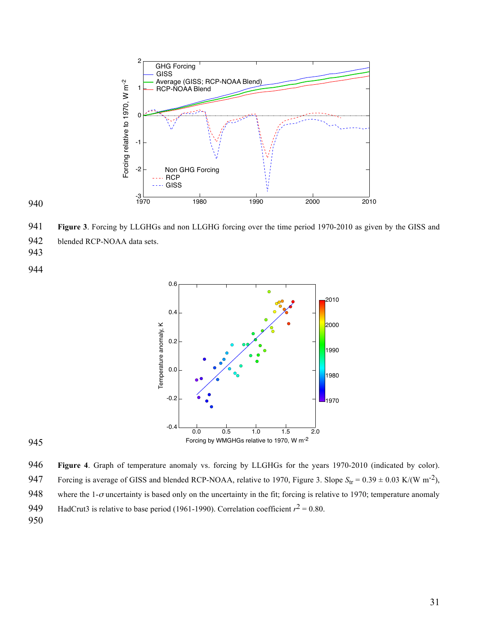

940

941 **Figure 3**. Forcing by LLGHGs and non LLGHG forcing over the time period 1970-2010 as given by the GISS and

942 blended RCP-NOAA data sets.

943

944



945

946 **Figure 4**. Graph of temperature anomaly vs. forcing by LLGHGs for the years 1970-2010 (indicated by color). 947 Forcing is average of GISS and blended RCP-NOAA, relative to 1970, Figure 3. Slope  $S_{tr} = 0.39 \pm 0.03$  K/(W m<sup>-2</sup>), 948 where the 1- $\sigma$  uncertainty is based only on the uncertainty in the fit; forcing is relative to 1970; temperature anomaly

949 HadCrut3 is relative to base period (1961-1990). Correlation coefficient  $r^2 = 0.80$ .

950